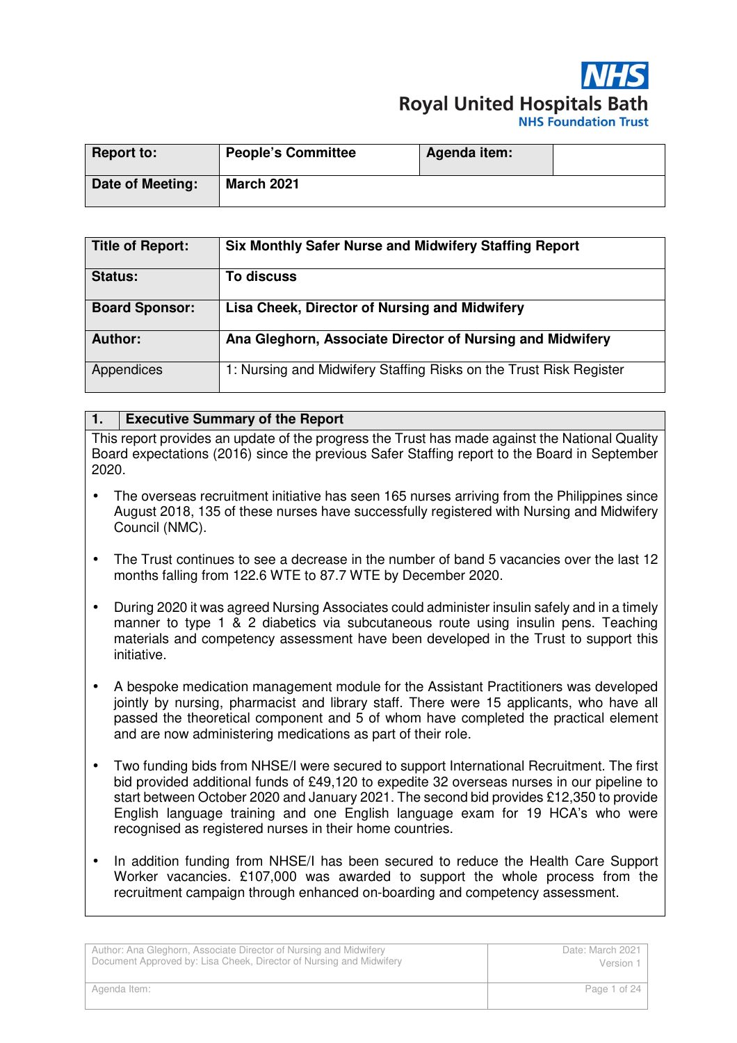

| <b>Report to:</b> | <b>People's Committee</b> | Agenda item: |  |
|-------------------|---------------------------|--------------|--|
| Date of Meeting:  | <b>March 2021</b>         |              |  |

| <b>Title of Report:</b> | <b>Six Monthly Safer Nurse and Midwifery Staffing Report</b>       |
|-------------------------|--------------------------------------------------------------------|
| <b>Status:</b>          | To discuss                                                         |
| <b>Board Sponsor:</b>   | Lisa Cheek, Director of Nursing and Midwifery                      |
| Author:                 | Ana Gleghorn, Associate Director of Nursing and Midwifery          |
| Appendices              | 1: Nursing and Midwifery Staffing Risks on the Trust Risk Register |

#### **1. Executive Summary of the Report**

This report provides an update of the progress the Trust has made against the National Quality Board expectations (2016) since the previous Safer Staffing report to the Board in September 2020.

- The overseas recruitment initiative has seen 165 nurses arriving from the Philippines since August 2018, 135 of these nurses have successfully registered with Nursing and Midwifery Council (NMC).
- The Trust continues to see a decrease in the number of band 5 vacancies over the last 12 months falling from 122.6 WTE to 87.7 WTE by December 2020.
- During 2020 it was agreed Nursing Associates could administer insulin safely and in a timely manner to type 1 & 2 diabetics via subcutaneous route using insulin pens. Teaching materials and competency assessment have been developed in the Trust to support this initiative.
- A bespoke medication management module for the Assistant Practitioners was developed jointly by nursing, pharmacist and library staff. There were 15 applicants, who have all passed the theoretical component and 5 of whom have completed the practical element and are now administering medications as part of their role.
- Two funding bids from NHSE/I were secured to support International Recruitment. The first bid provided additional funds of £49,120 to expedite 32 overseas nurses in our pipeline to start between October 2020 and January 2021. The second bid provides £12,350 to provide English language training and one English language exam for 19 HCA's who were recognised as registered nurses in their home countries.
- In addition funding from NHSE/I has been secured to reduce the Health Care Support Worker vacancies. £107,000 was awarded to support the whole process from the recruitment campaign through enhanced on-boarding and competency assessment.

| Author: Ana Gleghorn, Associate Director of Nursing and Midwifery   | Date: March 2021 |  |
|---------------------------------------------------------------------|------------------|--|
| Document Approved by: Lisa Cheek, Director of Nursing and Midwifery | Version 1        |  |
| Agenda Item:                                                        | Page 1 of 24     |  |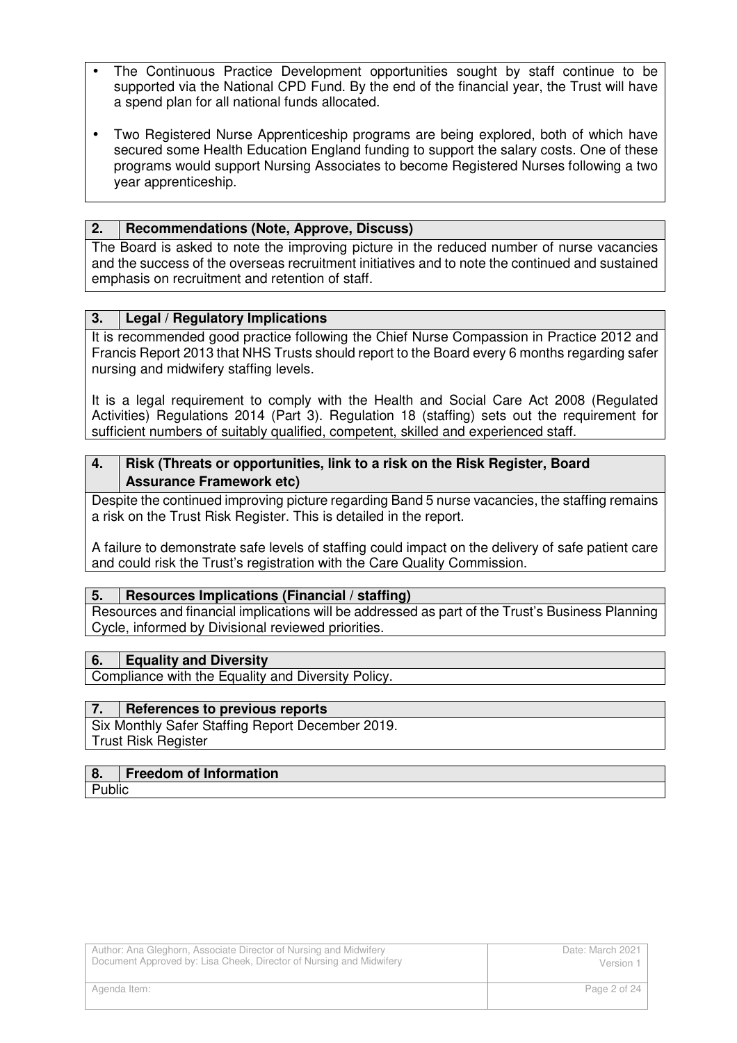- The Continuous Practice Development opportunities sought by staff continue to be supported via the National CPD Fund. By the end of the financial year, the Trust will have a spend plan for all national funds allocated.
- Two Registered Nurse Apprenticeship programs are being explored, both of which have secured some Health Education England funding to support the salary costs. One of these programs would support Nursing Associates to become Registered Nurses following a two year apprenticeship.

#### **2. Recommendations (Note, Approve, Discuss)**

The Board is asked to note the improving picture in the reduced number of nurse vacancies and the success of the overseas recruitment initiatives and to note the continued and sustained emphasis on recruitment and retention of staff.

#### **3. Legal / Regulatory Implications**

It is recommended good practice following the Chief Nurse Compassion in Practice 2012 and Francis Report 2013 that NHS Trusts should report to the Board every 6 months regarding safer nursing and midwifery staffing levels.

It is a legal requirement to comply with the Health and Social Care Act 2008 (Regulated Activities) Regulations 2014 (Part 3). Regulation 18 (staffing) sets out the requirement for sufficient numbers of suitably qualified, competent, skilled and experienced staff.

#### **4. Risk (Threats or opportunities, link to a risk on the Risk Register, Board Assurance Framework etc)**

Despite the continued improving picture regarding Band 5 nurse vacancies, the staffing remains a risk on the Trust Risk Register. This is detailed in the report.

A failure to demonstrate safe levels of staffing could impact on the delivery of safe patient care and could risk the Trust's registration with the Care Quality Commission.

#### **5. Resources Implications (Financial / staffing)**

Resources and financial implications will be addressed as part of the Trust's Business Planning Cycle, informed by Divisional reviewed priorities.

#### **6. Equality and Diversity**

Compliance with the Equality and Diversity Policy.

#### **7. References to previous reports**

Six Monthly Safer Staffing Report December 2019. Trust Risk Register

#### **8. Freedom of Information**

Public I

| Author: Ana Gleghorn, Associate Director of Nursing and Midwifery   | Date: March 2021 |
|---------------------------------------------------------------------|------------------|
| Document Approved by: Lisa Cheek, Director of Nursing and Midwifery | Version 1        |
| Agenda Item:                                                        | Page 2 of 24     |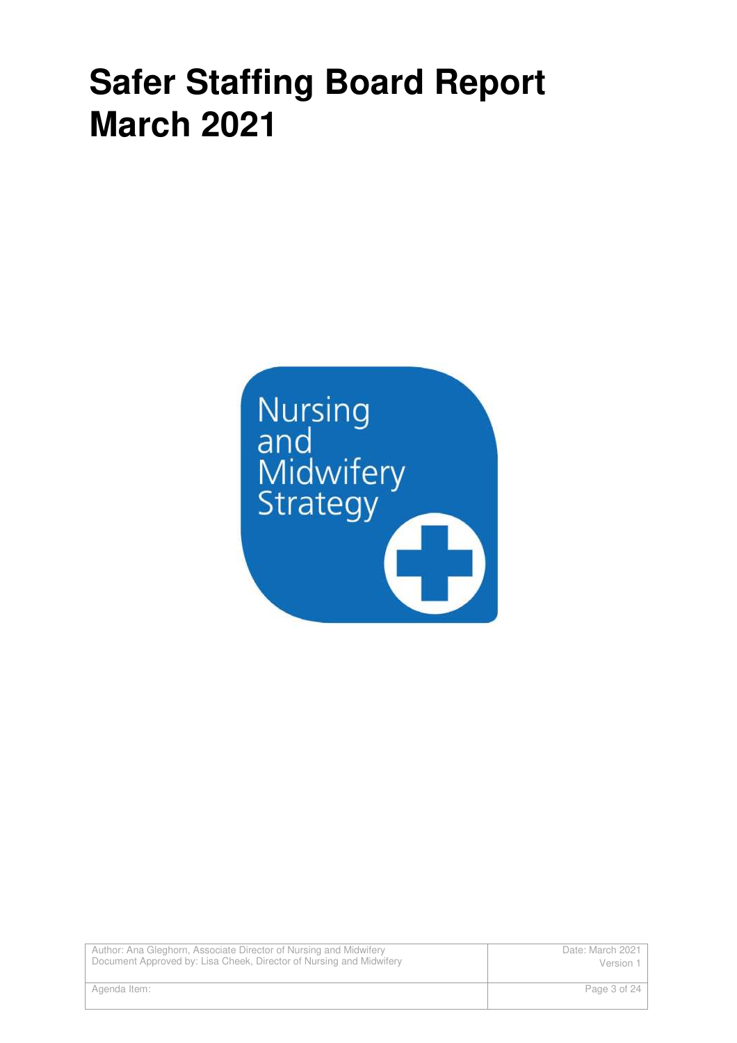# **Safer Staffing Board Report March 2021**



Author: Ana Gleghorn, Associate Director of Nursing and Midwifery Document Approved by: Lisa Cheek, Director of Nursing and Midwifery Date: March 2021 Version 1 Agenda Item: Page 3 of 24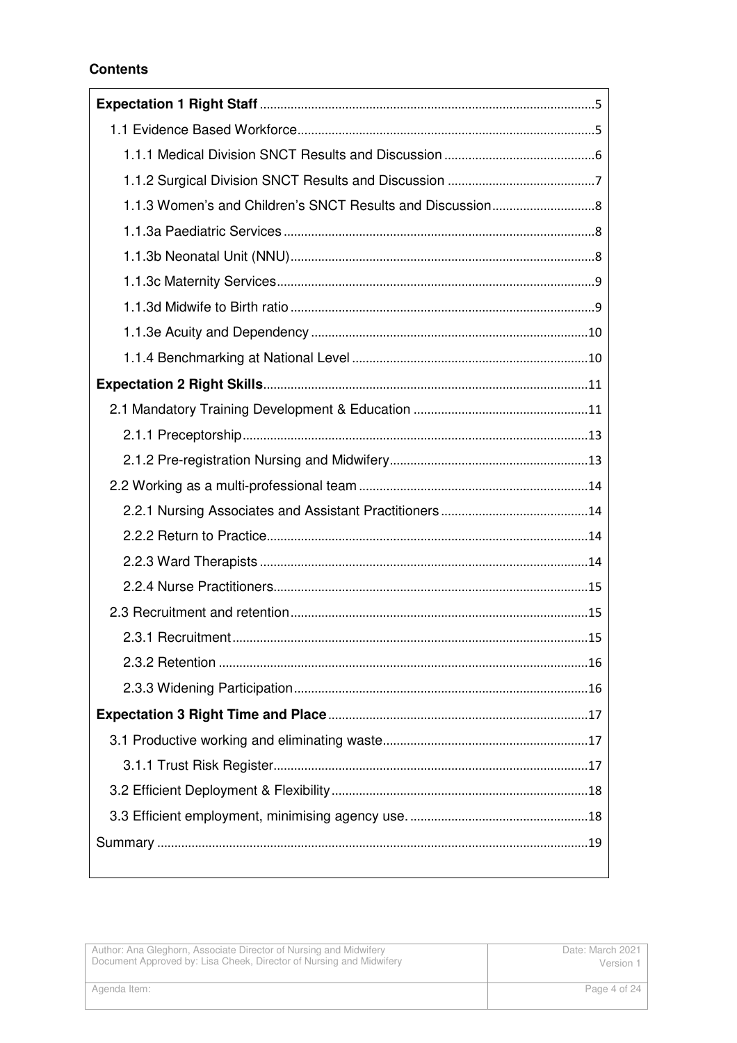# **Contents**

| Author: Ana Gleghorn, Associate Director of Nursing and Midwifery   | Date: March 2021 |
|---------------------------------------------------------------------|------------------|
| Document Approved by: Lisa Cheek, Director of Nursing and Midwifery | Version 1        |
| Agenda Item:                                                        | Page 4 of 24     |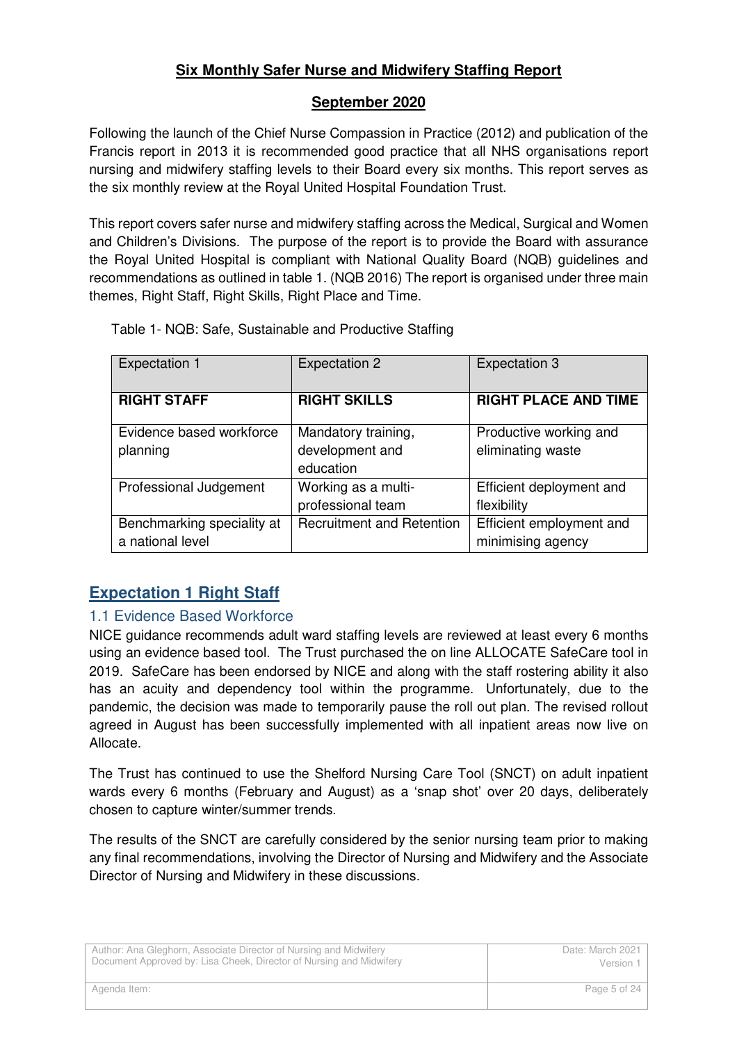# **Six Monthly Safer Nurse and Midwifery Staffing Report**

# **September 2020**

Following the launch of the Chief Nurse Compassion in Practice (2012) and publication of the Francis report in 2013 it is recommended good practice that all NHS organisations report nursing and midwifery staffing levels to their Board every six months. This report serves as the six monthly review at the Royal United Hospital Foundation Trust.

This report covers safer nurse and midwifery staffing across the Medical, Surgical and Women and Children's Divisions. The purpose of the report is to provide the Board with assurance the Royal United Hospital is compliant with National Quality Board (NQB) guidelines and recommendations as outlined in table 1. (NQB 2016) The report is organised under three main themes, Right Staff, Right Skills, Right Place and Time.

| <b>Expectation 1</b>       | <b>Expectation 2</b>             | <b>Expectation 3</b>        |
|----------------------------|----------------------------------|-----------------------------|
|                            |                                  |                             |
| <b>RIGHT STAFF</b>         | <b>RIGHT SKILLS</b>              | <b>RIGHT PLACE AND TIME</b> |
|                            |                                  |                             |
| Evidence based workforce   | Mandatory training,              | Productive working and      |
| planning                   | development and                  | eliminating waste           |
|                            | education                        |                             |
| Professional Judgement     | Working as a multi-              | Efficient deployment and    |
|                            | professional team                | flexibility                 |
| Benchmarking speciality at | <b>Recruitment and Retention</b> | Efficient employment and    |
| a national level           |                                  | minimising agency           |

Table 1- NQB: Safe, Sustainable and Productive Staffing

# **Expectation 1 Right Staff**

# 1.1 Evidence Based Workforce

NICE guidance recommends adult ward staffing levels are reviewed at least every 6 months using an evidence based tool. The Trust purchased the on line ALLOCATE SafeCare tool in 2019. SafeCare has been endorsed by NICE and along with the staff rostering ability it also has an acuity and dependency tool within the programme. Unfortunately, due to the pandemic, the decision was made to temporarily pause the roll out plan. The revised rollout agreed in August has been successfully implemented with all inpatient areas now live on Allocate.

The Trust has continued to use the Shelford Nursing Care Tool (SNCT) on adult inpatient wards every 6 months (February and August) as a 'snap shot' over 20 days, deliberately chosen to capture winter/summer trends.

The results of the SNCT are carefully considered by the senior nursing team prior to making any final recommendations, involving the Director of Nursing and Midwifery and the Associate Director of Nursing and Midwifery in these discussions.

| Author: Ana Gleghorn, Associate Director of Nursing and Midwifery   | Date: March 2021 |
|---------------------------------------------------------------------|------------------|
| Document Approved by: Lisa Cheek, Director of Nursing and Midwifery | Version 1        |
| Agenda Item:                                                        | Page 5 of 24     |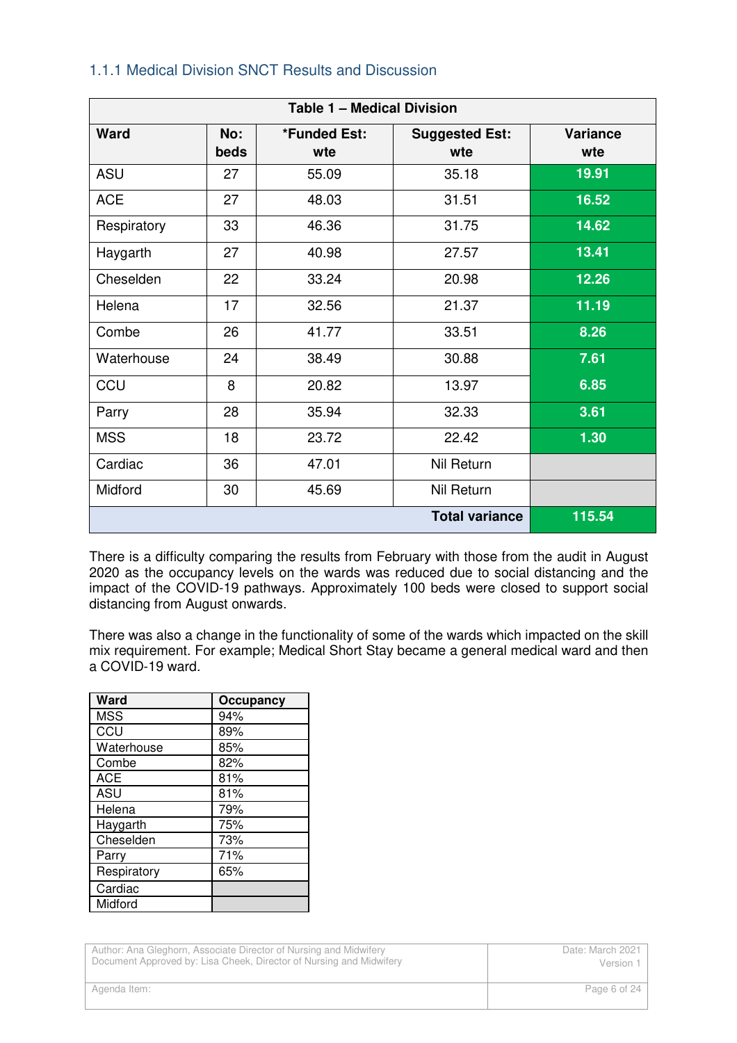### 1.1.1 Medical Division SNCT Results and Discussion

| <b>Table 1 - Medical Division</b> |             |                     |                              |                 |
|-----------------------------------|-------------|---------------------|------------------------------|-----------------|
| <b>Ward</b>                       | No:<br>beds | *Funded Est:<br>wte | <b>Suggested Est:</b><br>wte | Variance<br>wte |
| ASU                               | 27          | 55.09               | 35.18                        | 19.91           |
| <b>ACE</b>                        | 27          | 48.03               | 31.51                        | 16.52           |
| Respiratory                       | 33          | 46.36               | 31.75                        | 14.62           |
| Haygarth                          | 27          | 40.98               | 27.57                        | 13.41           |
| Cheselden                         | 22          | 33.24               | 20.98                        | 12.26           |
| Helena                            | 17          | 32.56               | 21.37                        | 11.19           |
| Combe                             | 26          | 41.77               | 33.51                        | 8.26            |
| Waterhouse                        | 24          | 38.49               | 30.88                        | 7.61            |
| CCU                               | 8           | 20.82               | 13.97                        | 6.85            |
| Parry                             | 28          | 35.94               | 32.33                        | 3.61            |
| <b>MSS</b>                        | 18          | 23.72               | 22.42                        | 1.30            |
| Cardiac                           | 36          | 47.01               | Nil Return                   |                 |
| Midford                           | 30          | 45.69               | Nil Return                   |                 |
|                                   |             |                     | <b>Total variance</b>        | 115.54          |

There is a difficulty comparing the results from February with those from the audit in August 2020 as the occupancy levels on the wards was reduced due to social distancing and the impact of the COVID-19 pathways. Approximately 100 beds were closed to support social distancing from August onwards.

There was also a change in the functionality of some of the wards which impacted on the skill mix requirement. For example; Medical Short Stay became a general medical ward and then a COVID-19 ward.

| Ward        | Occupancy |
|-------------|-----------|
| <b>MSS</b>  | 94%       |
| CCU         | 89%       |
| Waterhouse  | 85%       |
| Combe       | 82%       |
| <b>ACE</b>  | 81%       |
| <b>ASU</b>  | 81%       |
| Helena      | 79%       |
| Haygarth    | 75%       |
| Cheselden   | 73%       |
| Parry       | 71%       |
| Respiratory | 65%       |
| Cardiac     |           |
| Midford     |           |

Author: Ana Gleghorn, Associate Director of Nursing and Midwifery Document Approved by: Lisa Cheek, Director of Nursing and Midwifery Date: March 2021 Version 1 Agenda Item: Page 6 of 24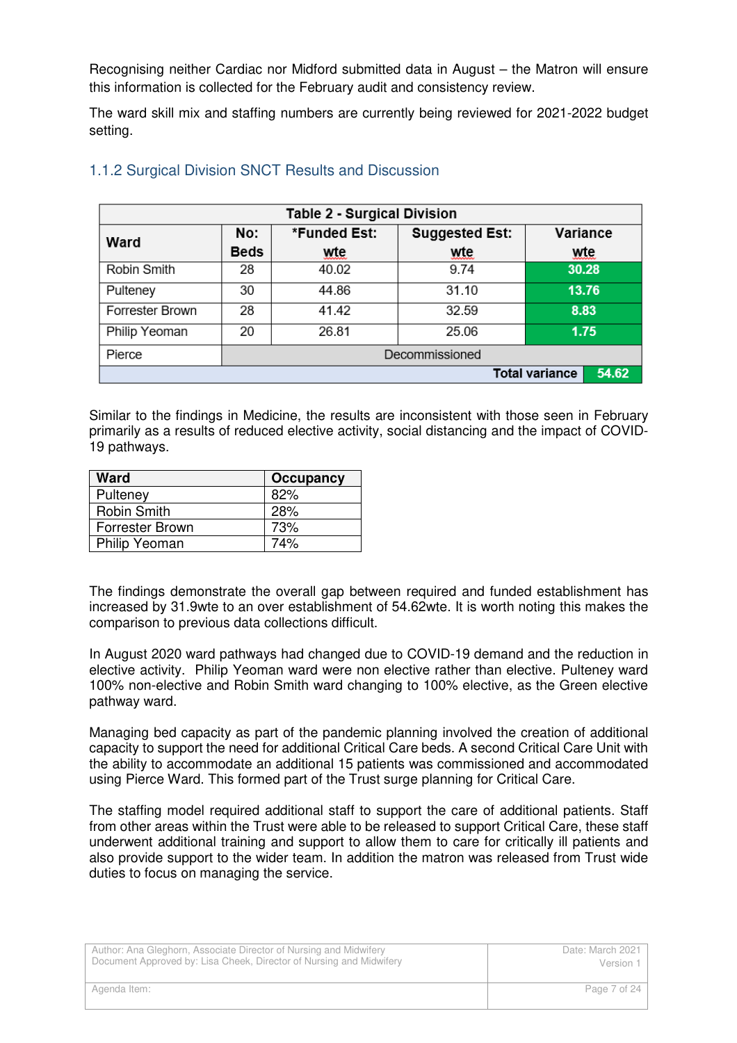Recognising neither Cardiac nor Midford submitted data in August – the Matron will ensure this information is collected for the February audit and consistency review.

The ward skill mix and staffing numbers are currently being reviewed for 2021-2022 budget setting.

| <b>Table 2 - Surgical Division</b> |                |              |                       |       |          |
|------------------------------------|----------------|--------------|-----------------------|-------|----------|
| Ward                               | No:            | *Funded Est: | <b>Suggested Est:</b> |       | Variance |
|                                    | <b>Beds</b>    | wte          | wte                   |       | wte      |
| Robin Smith                        | 28             | 40.02        | 9.74                  | 30.28 |          |
| Pulteney                           | 30             | 44.86        | 31.10                 |       | 13.76    |
| Forrester Brown                    | 28             | 41.42        | 32.59                 | 8.83  |          |
| Philip Yeoman                      | 20             | 26.81        | 25.06                 |       | 1.75     |
| Pierce                             | Decommissioned |              |                       |       |          |
| 54.62<br><b>Total variance</b>     |                |              |                       |       |          |

### 1.1.2 Surgical Division SNCT Results and Discussion

Similar to the findings in Medicine, the results are inconsistent with those seen in February primarily as a results of reduced elective activity, social distancing and the impact of COVID-19 pathways.

| <b>Ward</b>        | <b>Occupancy</b> |
|--------------------|------------------|
| Pulteney           | 82%              |
| <b>Robin Smith</b> | 28%              |
| Forrester Brown    | 73%              |
| Philip Yeoman      | 74%              |

The findings demonstrate the overall gap between required and funded establishment has increased by 31.9wte to an over establishment of 54.62wte. It is worth noting this makes the comparison to previous data collections difficult.

In August 2020 ward pathways had changed due to COVID-19 demand and the reduction in elective activity. Philip Yeoman ward were non elective rather than elective. Pulteney ward 100% non-elective and Robin Smith ward changing to 100% elective, as the Green elective pathway ward.

Managing bed capacity as part of the pandemic planning involved the creation of additional capacity to support the need for additional Critical Care beds. A second Critical Care Unit with the ability to accommodate an additional 15 patients was commissioned and accommodated using Pierce Ward. This formed part of the Trust surge planning for Critical Care.

The staffing model required additional staff to support the care of additional patients. Staff from other areas within the Trust were able to be released to support Critical Care, these staff underwent additional training and support to allow them to care for critically ill patients and also provide support to the wider team. In addition the matron was released from Trust wide duties to focus on managing the service.

| Author: Ana Gleghorn, Associate Director of Nursing and Midwifery   | Date: March 2021 |
|---------------------------------------------------------------------|------------------|
| Document Approved by: Lisa Cheek, Director of Nursing and Midwifery | Version 1        |
| Agenda Item:                                                        | Page 7 of 24     |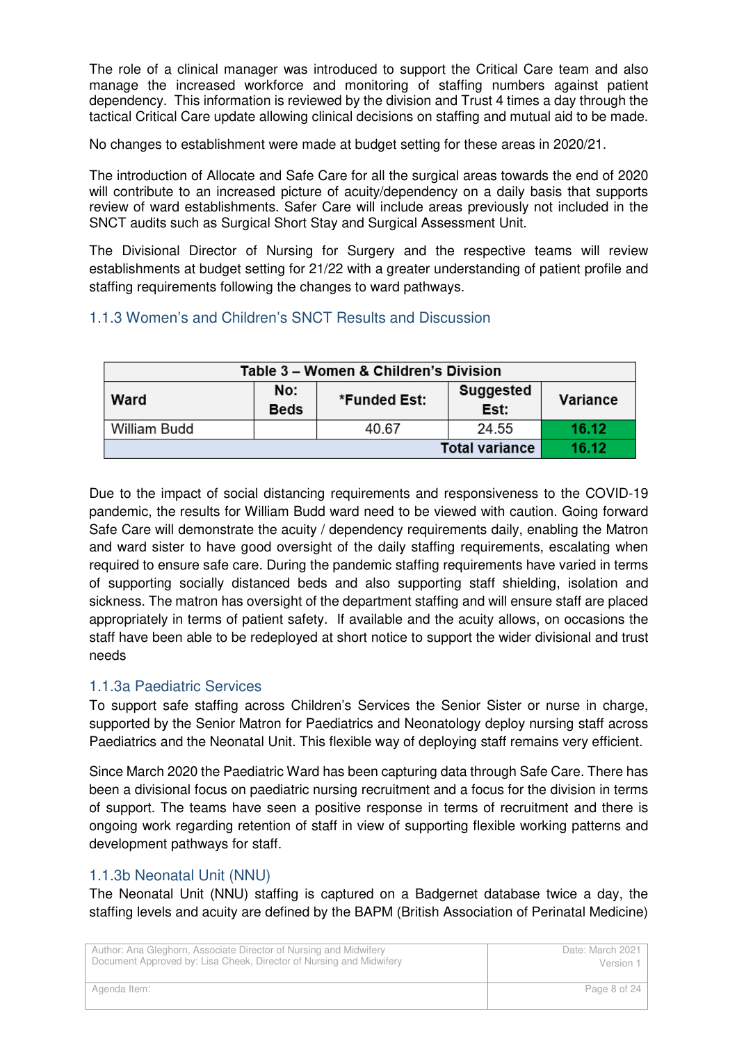The role of a clinical manager was introduced to support the Critical Care team and also manage the increased workforce and monitoring of staffing numbers against patient dependency. This information is reviewed by the division and Trust 4 times a day through the tactical Critical Care update allowing clinical decisions on staffing and mutual aid to be made.

No changes to establishment were made at budget setting for these areas in 2020/21.

The introduction of Allocate and Safe Care for all the surgical areas towards the end of 2020 will contribute to an increased picture of acuity/dependency on a daily basis that supports review of ward establishments. Safer Care will include areas previously not included in the SNCT audits such as Surgical Short Stay and Surgical Assessment Unit.

The Divisional Director of Nursing for Surgery and the respective teams will review establishments at budget setting for 21/22 with a greater understanding of patient profile and staffing requirements following the changes to ward pathways.

# 1.1.3 Women's and Children's SNCT Results and Discussion

| Table 3 - Women & Children's Division |                                                                     |       |       |       |  |
|---------------------------------------|---------------------------------------------------------------------|-------|-------|-------|--|
| Ward                                  | No:<br>Suggested<br>*Funded Est:<br>Variance<br>Est:<br><b>Beds</b> |       |       |       |  |
| William Budd                          |                                                                     | 40.67 | 24.55 | 16.12 |  |
| 16.12<br><b>Total variance</b>        |                                                                     |       |       |       |  |

Due to the impact of social distancing requirements and responsiveness to the COVID-19 pandemic, the results for William Budd ward need to be viewed with caution. Going forward Safe Care will demonstrate the acuity / dependency requirements daily, enabling the Matron and ward sister to have good oversight of the daily staffing requirements, escalating when required to ensure safe care. During the pandemic staffing requirements have varied in terms of supporting socially distanced beds and also supporting staff shielding, isolation and sickness. The matron has oversight of the department staffing and will ensure staff are placed appropriately in terms of patient safety. If available and the acuity allows, on occasions the staff have been able to be redeployed at short notice to support the wider divisional and trust needs

# 1.1.3a Paediatric Services

To support safe staffing across Children's Services the Senior Sister or nurse in charge, supported by the Senior Matron for Paediatrics and Neonatology deploy nursing staff across Paediatrics and the Neonatal Unit. This flexible way of deploying staff remains very efficient.

Since March 2020 the Paediatric Ward has been capturing data through Safe Care. There has been a divisional focus on paediatric nursing recruitment and a focus for the division in terms of support. The teams have seen a positive response in terms of recruitment and there is ongoing work regarding retention of staff in view of supporting flexible working patterns and development pathways for staff.

# 1.1.3b Neonatal Unit (NNU)

The Neonatal Unit (NNU) staffing is captured on a Badgernet database twice a day, the staffing levels and acuity are defined by the BAPM (British Association of Perinatal Medicine)

| Author: Ana Gleghorn, Associate Director of Nursing and Midwifery   | Date: March 2021 |
|---------------------------------------------------------------------|------------------|
| Document Approved by: Lisa Cheek, Director of Nursing and Midwifery | Version 1        |
| Agenda Item:                                                        | Page 8 of 24     |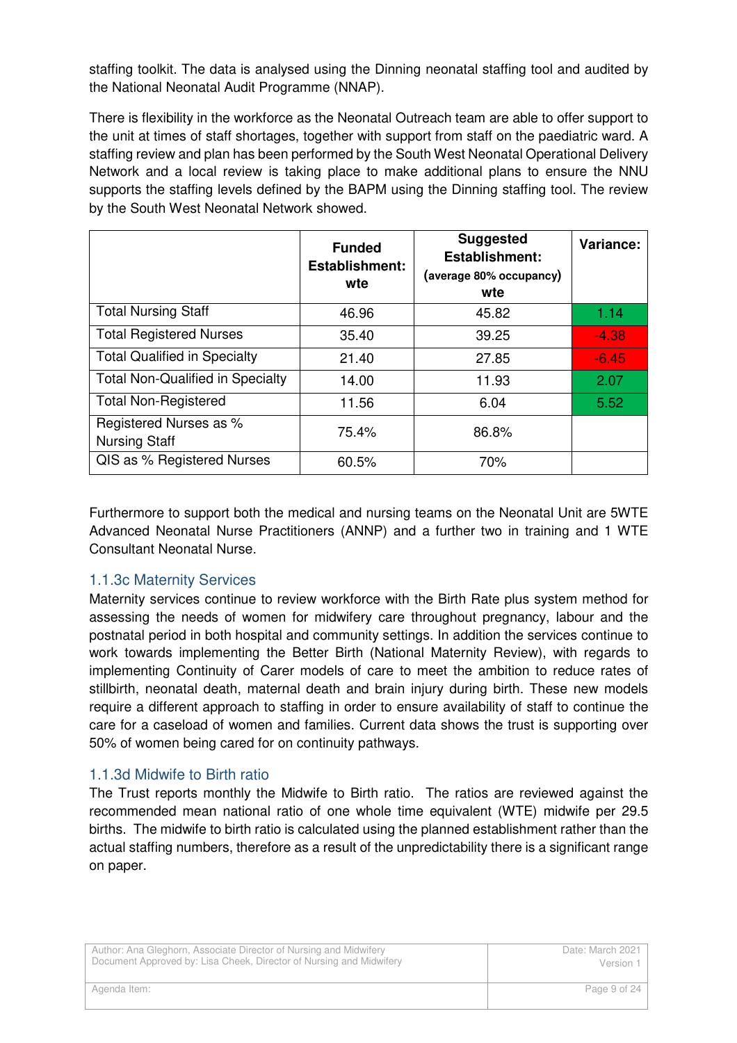staffing toolkit. The data is analysed using the Dinning neonatal staffing tool and audited by the National Neonatal Audit Programme (NNAP).

There is flexibility in the workforce as the Neonatal Outreach team are able to offer support to the unit at times of staff shortages, together with support from staff on the paediatric ward. A staffing review and plan has been performed by the South West Neonatal Operational Delivery Network and a local review is taking place to make additional plans to ensure the NNU supports the staffing levels defined by the BAPM using the Dinning staffing tool. The review by the South West Neonatal Network showed.

|                                                | <b>Funded</b><br><b>Establishment:</b><br>wte | <b>Suggested</b><br><b>Establishment:</b><br>(average 80% occupancy)<br>wte | Variance: |
|------------------------------------------------|-----------------------------------------------|-----------------------------------------------------------------------------|-----------|
| <b>Total Nursing Staff</b>                     | 46.96                                         | 45.82                                                                       | 1.14      |
| <b>Total Registered Nurses</b>                 | 35.40                                         | 39.25                                                                       | $-4.38$   |
| <b>Total Qualified in Specialty</b>            | 21.40                                         | 27.85                                                                       | $-6.45$   |
| <b>Total Non-Qualified in Specialty</b>        | 14.00                                         | 11.93                                                                       | 2.07      |
| <b>Total Non-Registered</b>                    | 11.56                                         | 6.04                                                                        | 5.52      |
| Registered Nurses as %<br><b>Nursing Staff</b> | 75.4%                                         | 86.8%                                                                       |           |
| QIS as % Registered Nurses                     | 60.5%                                         | 70%                                                                         |           |

Furthermore to support both the medical and nursing teams on the Neonatal Unit are 5WTE Advanced Neonatal Nurse Practitioners (ANNP) and a further two in training and 1 WTE Consultant Neonatal Nurse.

# 1.1.3c Maternity Services

Maternity services continue to review workforce with the Birth Rate plus system method for assessing the needs of women for midwifery care throughout pregnancy, labour and the postnatal period in both hospital and community settings. In addition the services continue to work towards implementing the Better Birth (National Maternity Review), with regards to implementing Continuity of Carer models of care to meet the ambition to reduce rates of stillbirth, neonatal death, maternal death and brain injury during birth. These new models require a different approach to staffing in order to ensure availability of staff to continue the care for a caseload of women and families. Current data shows the trust is supporting over 50% of women being cared for on continuity pathways.

#### 1.1.3d Midwife to Birth ratio

The Trust reports monthly the Midwife to Birth ratio. The ratios are reviewed against the recommended mean national ratio of one whole time equivalent (WTE) midwife per 29.5 births. The midwife to birth ratio is calculated using the planned establishment rather than the actual staffing numbers, therefore as a result of the unpredictability there is a significant range on paper.

| Author: Ana Gleghorn, Associate Director of Nursing and Midwifery   | Date: March 2021 |
|---------------------------------------------------------------------|------------------|
| Document Approved by: Lisa Cheek, Director of Nursing and Midwifery | Version 1        |
| Agenda Item:                                                        | Page 9 of 24     |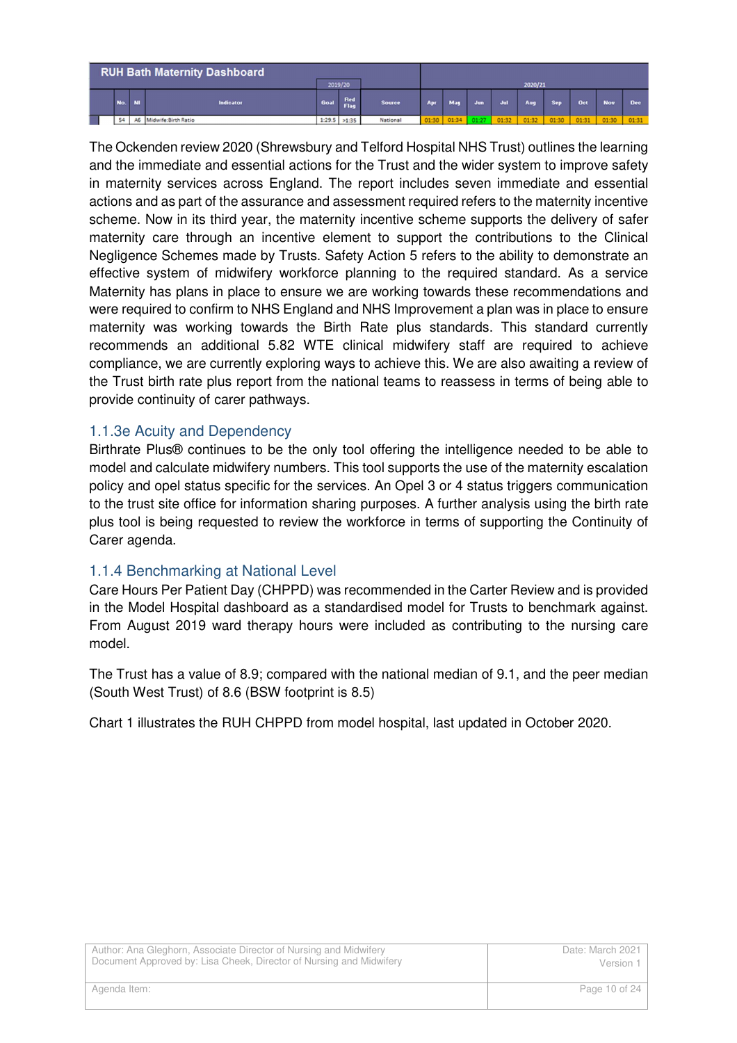|     |           | <b>RUH Bath Maternity Dashboard</b> |                | 2019/20     |               |     |                   |     |       | 2020/21 |            |       |            |            |
|-----|-----------|-------------------------------------|----------------|-------------|---------------|-----|-------------------|-----|-------|---------|------------|-------|------------|------------|
| No. | <b>NI</b> | Indicator                           | Goal           | Red<br>Flag | <b>Source</b> | Apr | Mar               | Jun |       | Aug     | <b>Sep</b> | Oct   | <b>Nov</b> | <b>Dec</b> |
| 54  |           | A6 Midwife:Birth Ratio              | $1:29.5$ >1:35 |             | National      |     | 01:30 01:34 01:27 |     | 01:32 | 01:32   | 01:30      | 01:31 | 01:30      | 01:31      |

The Ockenden review 2020 (Shrewsbury and Telford Hospital NHS Trust) outlines the learning and the immediate and essential actions for the Trust and the wider system to improve safety in maternity services across England. The report includes seven immediate and essential actions and as part of the assurance and assessment required refers to the maternity incentive scheme. Now in its third year, the maternity incentive scheme supports the delivery of safer maternity care through an incentive element to support the contributions to the Clinical Negligence Schemes made by Trusts. Safety Action 5 refers to the ability to demonstrate an effective system of midwifery workforce planning to the required standard. As a service Maternity has plans in place to ensure we are working towards these recommendations and were required to confirm to NHS England and NHS Improvement a plan was in place to ensure maternity was working towards the Birth Rate plus standards. This standard currently recommends an additional 5.82 WTE clinical midwifery staff are required to achieve compliance, we are currently exploring ways to achieve this. We are also awaiting a review of the Trust birth rate plus report from the national teams to reassess in terms of being able to provide continuity of carer pathways.

## 1.1.3e Acuity and Dependency

Birthrate Plus® continues to be the only tool offering the intelligence needed to be able to model and calculate midwifery numbers. This tool supports the use of the maternity escalation policy and opel status specific for the services. An Opel 3 or 4 status triggers communication to the trust site office for information sharing purposes. A further analysis using the birth rate plus tool is being requested to review the workforce in terms of supporting the Continuity of Carer agenda.

#### 1.1.4 Benchmarking at National Level

Care Hours Per Patient Day (CHPPD) was recommended in the Carter Review and is provided in the Model Hospital dashboard as a standardised model for Trusts to benchmark against. From August 2019 ward therapy hours were included as contributing to the nursing care model.

The Trust has a value of 8.9; compared with the national median of 9.1, and the peer median (South West Trust) of 8.6 (BSW footprint is 8.5)

Chart 1 illustrates the RUH CHPPD from model hospital, last updated in October 2020.

| Author: Ana Gleghorn, Associate Director of Nursing and Midwifery   | Date: March 2021 |
|---------------------------------------------------------------------|------------------|
| Document Approved by: Lisa Cheek, Director of Nursing and Midwifery | Version 1        |
| Agenda Item:                                                        | Page 10 of 24    |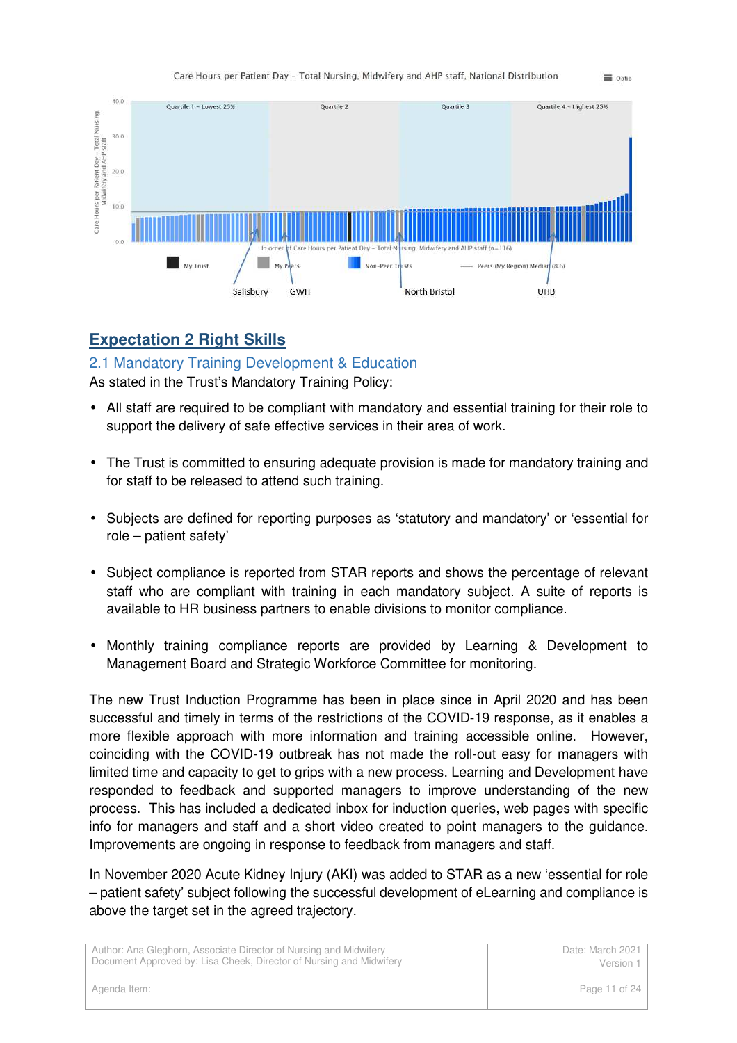



# **Expectation 2 Right Skills**

2.1 Mandatory Training Development & Education

As stated in the Trust's Mandatory Training Policy:

- All staff are required to be compliant with mandatory and essential training for their role to support the delivery of safe effective services in their area of work.
- The Trust is committed to ensuring adequate provision is made for mandatory training and for staff to be released to attend such training.
- Subjects are defined for reporting purposes as 'statutory and mandatory' or 'essential for role – patient safety'
- Subject compliance is reported from STAR reports and shows the percentage of relevant staff who are compliant with training in each mandatory subject. A suite of reports is available to HR business partners to enable divisions to monitor compliance.
- Monthly training compliance reports are provided by Learning & Development to Management Board and Strategic Workforce Committee for monitoring.

The new Trust Induction Programme has been in place since in April 2020 and has been successful and timely in terms of the restrictions of the COVID-19 response, as it enables a more flexible approach with more information and training accessible online. However, coinciding with the COVID-19 outbreak has not made the roll-out easy for managers with limited time and capacity to get to grips with a new process. Learning and Development have responded to feedback and supported managers to improve understanding of the new process. This has included a dedicated inbox for induction queries, web pages with specific info for managers and staff and a short video created to point managers to the guidance. Improvements are ongoing in response to feedback from managers and staff.

In November 2020 Acute Kidney Injury (AKI) was added to STAR as a new 'essential for role – patient safety' subject following the successful development of eLearning and compliance is above the target set in the agreed trajectory.

| Author: Ana Gleghorn, Associate Director of Nursing and Midwifery   | Date: March 2021 |
|---------------------------------------------------------------------|------------------|
| Document Approved by: Lisa Cheek, Director of Nursing and Midwifery | Version 1        |
| Agenda Item:                                                        | Page 11 of 24    |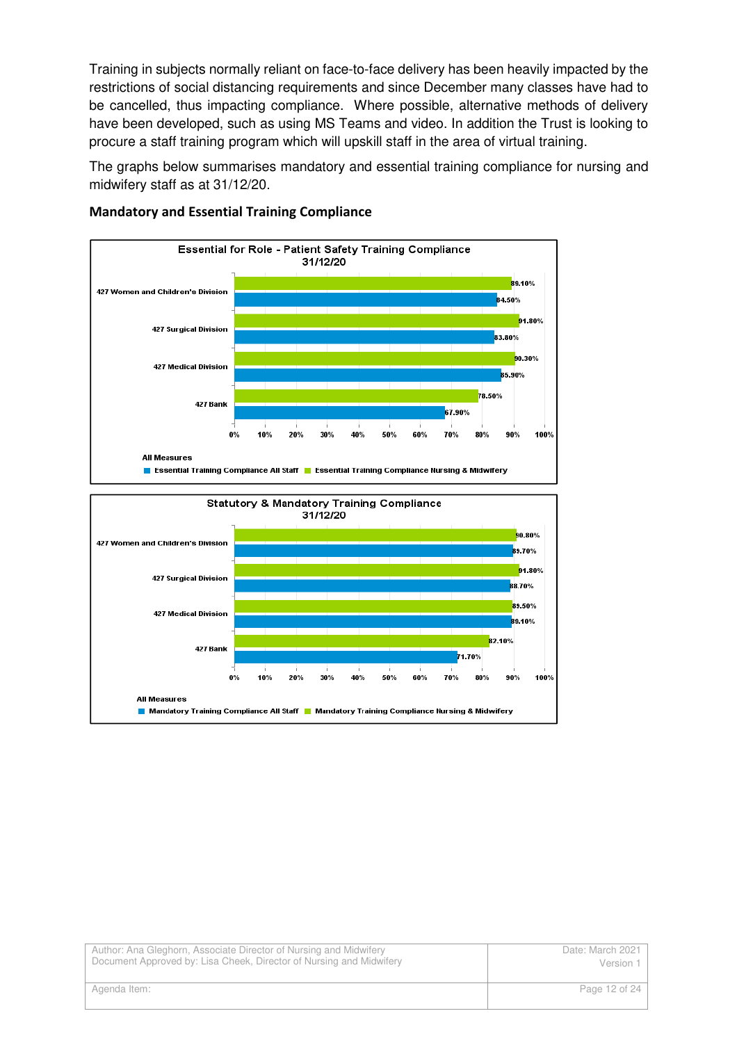Training in subjects normally reliant on face-to-face delivery has been heavily impacted by the restrictions of social distancing requirements and since December many classes have had to be cancelled, thus impacting compliance. Where possible, alternative methods of delivery have been developed, such as using MS Teams and video. In addition the Trust is looking to procure a staff training program which will upskill staff in the area of virtual training.

The graphs below summarises mandatory and essential training compliance for nursing and midwifery staff as at 31/12/20.



#### **Mandatory and Essential Training Compliance**

| Author: Ana Gleghorn, Associate Director of Nursing and Midwifery   | Date: March 2021 |
|---------------------------------------------------------------------|------------------|
| Document Approved by: Lisa Cheek, Director of Nursing and Midwifery | Version 1        |
| Agenda Item:                                                        | Page 12 of 24    |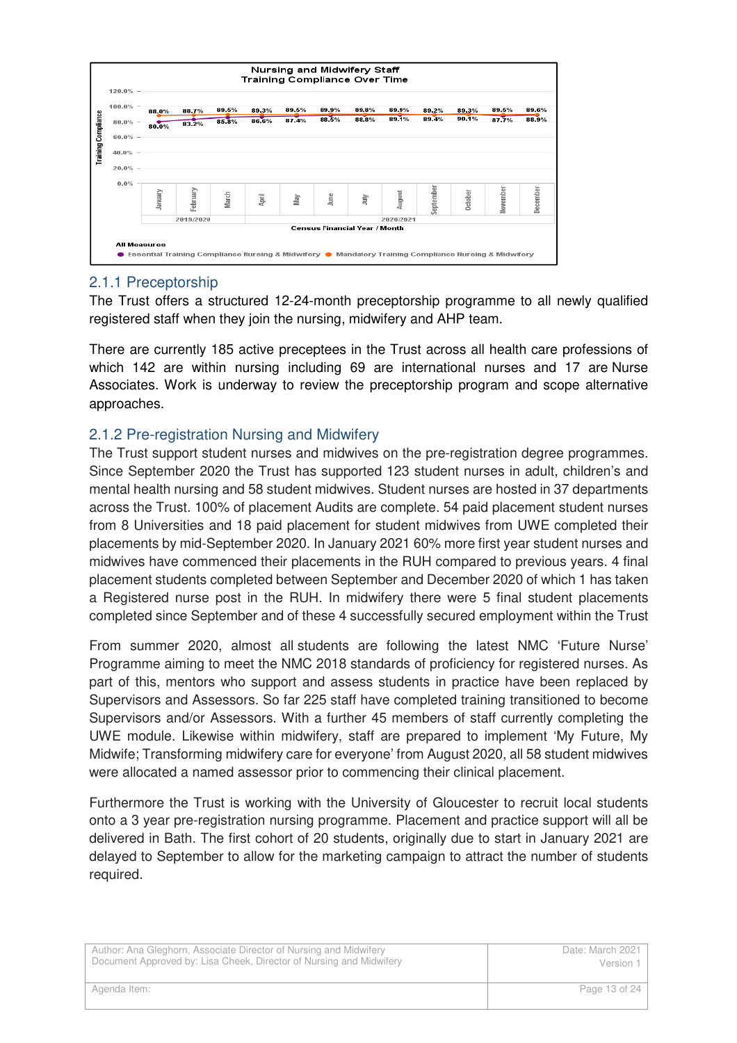

## 2.1.1 Preceptorship

The Trust offers a structured 12-24-month preceptorship programme to all newly qualified registered staff when they join the nursing, midwifery and AHP team.

There are currently 185 active preceptees in the Trust across all health care professions of which 142 are within nursing including 69 are international nurses and 17 are Nurse Associates. Work is underway to review the preceptorship program and scope alternative approaches.

## 2.1.2 Pre-registration Nursing and Midwifery

The Trust support student nurses and midwives on the pre-registration degree programmes. Since September 2020 the Trust has supported 123 student nurses in adult, children's and mental health nursing and 58 student midwives. Student nurses are hosted in 37 departments across the Trust. 100% of placement Audits are complete. 54 paid placement student nurses from 8 Universities and 18 paid placement for student midwives from UWE completed their placements by mid-September 2020. In January 2021 60% more first year student nurses and midwives have commenced their placements in the RUH compared to previous years. 4 final placement students completed between September and December 2020 of which 1 has taken a Registered nurse post in the RUH. In midwifery there were 5 final student placements completed since September and of these 4 successfully secured employment within the Trust

From summer 2020, almost all students are following the latest NMC 'Future Nurse' Programme aiming to meet the NMC 2018 standards of proficiency for registered nurses. As part of this, mentors who support and assess students in practice have been replaced by Supervisors and Assessors. So far 225 staff have completed training transitioned to become Supervisors and/or Assessors. With a further 45 members of staff currently completing the UWE module. Likewise within midwifery, staff are prepared to implement 'My Future, My Midwife; Transforming midwifery care for everyone' from August 2020, all 58 student midwives were allocated a named assessor prior to commencing their clinical placement.

Furthermore the Trust is working with the University of Gloucester to recruit local students onto a 3 year pre-registration nursing programme. Placement and practice support will all be delivered in Bath. The first cohort of 20 students, originally due to start in January 2021 are delayed to September to allow for the marketing campaign to attract the number of students required.

Author: Ana Gleghorn, Associate Director of Nursing and Midwifery Document Approved by: Lisa Cheek, Director of Nursing and Midwifery Date: March 2021 Version 1 Agenda Item: Page 13 of 24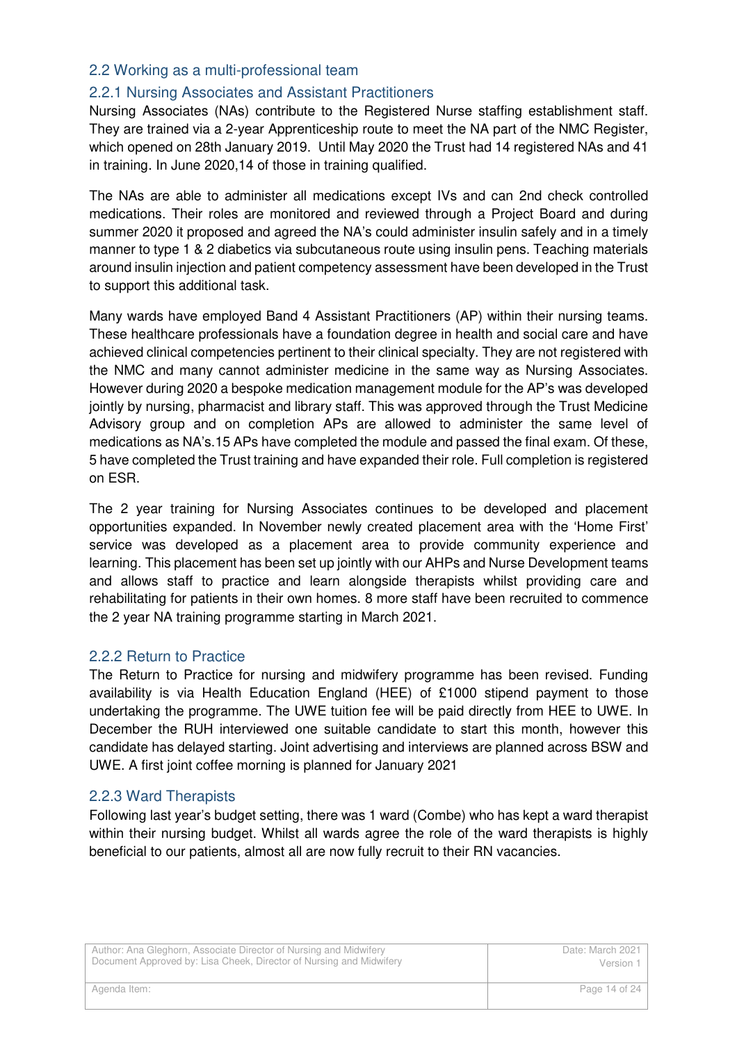#### 2.2 Working as a multi-professional team

# 2.2.1 Nursing Associates and Assistant Practitioners

Nursing Associates (NAs) contribute to the Registered Nurse staffing establishment staff. They are trained via a 2-year Apprenticeship route to meet the NA part of the NMC Register, which opened on 28th January 2019. Until May 2020 the Trust had 14 registered NAs and 41 in training. In June 2020,14 of those in training qualified.

The NAs are able to administer all medications except IVs and can 2nd check controlled medications. Their roles are monitored and reviewed through a Project Board and during summer 2020 it proposed and agreed the NA's could administer insulin safely and in a timely manner to type 1 & 2 diabetics via subcutaneous route using insulin pens. Teaching materials around insulin injection and patient competency assessment have been developed in the Trust to support this additional task.

Many wards have employed Band 4 Assistant Practitioners (AP) within their nursing teams. These healthcare professionals have a foundation degree in health and social care and have achieved clinical competencies pertinent to their clinical specialty. They are not registered with the NMC and many cannot administer medicine in the same way as Nursing Associates. However during 2020 a bespoke medication management module for the AP's was developed jointly by nursing, pharmacist and library staff. This was approved through the Trust Medicine Advisory group and on completion APs are allowed to administer the same level of medications as NA's.15 APs have completed the module and passed the final exam. Of these, 5 have completed the Trust training and have expanded their role. Full completion is registered on ESR.

The 2 year training for Nursing Associates continues to be developed and placement opportunities expanded. In November newly created placement area with the 'Home First' service was developed as a placement area to provide community experience and learning. This placement has been set up jointly with our AHPs and Nurse Development teams and allows staff to practice and learn alongside therapists whilst providing care and rehabilitating for patients in their own homes. 8 more staff have been recruited to commence the 2 year NA training programme starting in March 2021.

#### 2.2.2 Return to Practice

The Return to Practice for nursing and midwifery programme has been revised. Funding availability is via Health Education England (HEE) of £1000 stipend payment to those undertaking the programme. The UWE tuition fee will be paid directly from HEE to UWE. In December the RUH interviewed one suitable candidate to start this month, however this candidate has delayed starting. Joint advertising and interviews are planned across BSW and UWE. A first joint coffee morning is planned for January 2021

#### 2.2.3 Ward Therapists

Following last year's budget setting, there was 1 ward (Combe) who has kept a ward therapist within their nursing budget. Whilst all wards agree the role of the ward therapists is highly beneficial to our patients, almost all are now fully recruit to their RN vacancies.

| Author: Ana Gleghorn, Associate Director of Nursing and Midwifery   | Date: March 2021 |
|---------------------------------------------------------------------|------------------|
| Document Approved by: Lisa Cheek, Director of Nursing and Midwifery | Version 1        |
| Agenda Item:                                                        | Page 14 of 24    |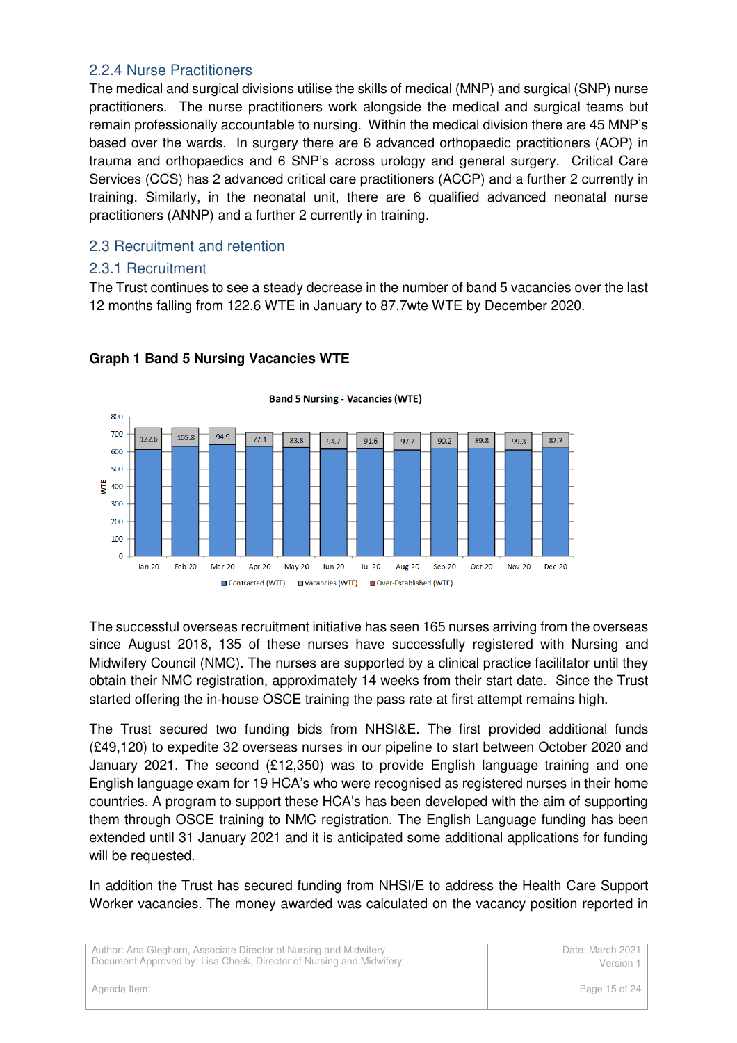#### 2.2.4 Nurse Practitioners

The medical and surgical divisions utilise the skills of medical (MNP) and surgical (SNP) nurse practitioners. The nurse practitioners work alongside the medical and surgical teams but remain professionally accountable to nursing. Within the medical division there are 45 MNP's based over the wards. In surgery there are 6 advanced orthopaedic practitioners (AOP) in trauma and orthopaedics and 6 SNP's across urology and general surgery. Critical Care Services (CCS) has 2 advanced critical care practitioners (ACCP) and a further 2 currently in training. Similarly, in the neonatal unit, there are 6 qualified advanced neonatal nurse practitioners (ANNP) and a further 2 currently in training.

# 2.3 Recruitment and retention

#### 2.3.1 Recruitment

The Trust continues to see a steady decrease in the number of band 5 vacancies over the last 12 months falling from 122.6 WTE in January to 87.7wte WTE by December 2020.



#### **Graph 1 Band 5 Nursing Vacancies WTE**

The successful overseas recruitment initiative has seen 165 nurses arriving from the overseas since August 2018, 135 of these nurses have successfully registered with Nursing and Midwifery Council (NMC). The nurses are supported by a clinical practice facilitator until they obtain their NMC registration, approximately 14 weeks from their start date. Since the Trust started offering the in-house OSCE training the pass rate at first attempt remains high.

The Trust secured two funding bids from NHSI&E. The first provided additional funds (£49,120) to expedite 32 overseas nurses in our pipeline to start between October 2020 and January 2021. The second (£12,350) was to provide English language training and one English language exam for 19 HCA's who were recognised as registered nurses in their home countries. A program to support these HCA's has been developed with the aim of supporting them through OSCE training to NMC registration. The English Language funding has been extended until 31 January 2021 and it is anticipated some additional applications for funding will be requested.

In addition the Trust has secured funding from NHSI/E to address the Health Care Support Worker vacancies. The money awarded was calculated on the vacancy position reported in

| Author: Ana Gleghorn, Associate Director of Nursing and Midwifery   | Date: March 2021 |
|---------------------------------------------------------------------|------------------|
| Document Approved by: Lisa Cheek, Director of Nursing and Midwifery | Version 1        |
| Agenda Item:                                                        | Page 15 of 24    |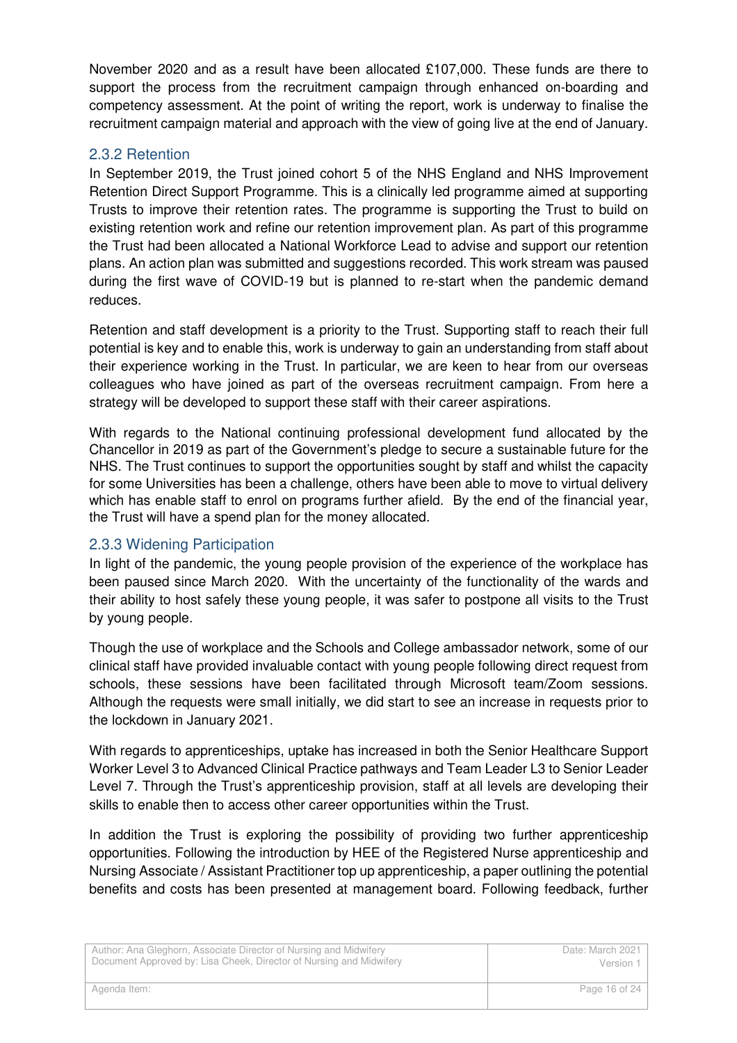November 2020 and as a result have been allocated £107,000. These funds are there to support the process from the recruitment campaign through enhanced on-boarding and competency assessment. At the point of writing the report, work is underway to finalise the recruitment campaign material and approach with the view of going live at the end of January.

### 2.3.2 Retention

In September 2019, the Trust joined cohort 5 of the NHS England and NHS Improvement Retention Direct Support Programme. This is a clinically led programme aimed at supporting Trusts to improve their retention rates. The programme is supporting the Trust to build on existing retention work and refine our retention improvement plan. As part of this programme the Trust had been allocated a National Workforce Lead to advise and support our retention plans. An action plan was submitted and suggestions recorded. This work stream was paused during the first wave of COVID-19 but is planned to re-start when the pandemic demand reduces.

Retention and staff development is a priority to the Trust. Supporting staff to reach their full potential is key and to enable this, work is underway to gain an understanding from staff about their experience working in the Trust. In particular, we are keen to hear from our overseas colleagues who have joined as part of the overseas recruitment campaign. From here a strategy will be developed to support these staff with their career aspirations.

With regards to the National continuing professional development fund allocated by the Chancellor in 2019 as part of the Government's pledge to secure a sustainable future for the NHS. The Trust continues to support the opportunities sought by staff and whilst the capacity for some Universities has been a challenge, others have been able to move to virtual delivery which has enable staff to enrol on programs further afield. By the end of the financial year, the Trust will have a spend plan for the money allocated.

#### 2.3.3 Widening Participation

In light of the pandemic, the young people provision of the experience of the workplace has been paused since March 2020. With the uncertainty of the functionality of the wards and their ability to host safely these young people, it was safer to postpone all visits to the Trust by young people.

Though the use of workplace and the Schools and College ambassador network, some of our clinical staff have provided invaluable contact with young people following direct request from schools, these sessions have been facilitated through Microsoft team/Zoom sessions. Although the requests were small initially, we did start to see an increase in requests prior to the lockdown in January 2021.

With regards to apprenticeships, uptake has increased in both the Senior Healthcare Support Worker Level 3 to Advanced Clinical Practice pathways and Team Leader L3 to Senior Leader Level 7. Through the Trust's apprenticeship provision, staff at all levels are developing their skills to enable then to access other career opportunities within the Trust.

In addition the Trust is exploring the possibility of providing two further apprenticeship opportunities. Following the introduction by HEE of the Registered Nurse apprenticeship and Nursing Associate / Assistant Practitioner top up apprenticeship, a paper outlining the potential benefits and costs has been presented at management board. Following feedback, further

| Author: Ana Gleghorn, Associate Director of Nursing and Midwifery   | Date: March 2021 |
|---------------------------------------------------------------------|------------------|
| Document Approved by: Lisa Cheek, Director of Nursing and Midwifery | Version 1        |
|                                                                     |                  |
| Agenda Item:                                                        | Page 16 of 24    |
|                                                                     |                  |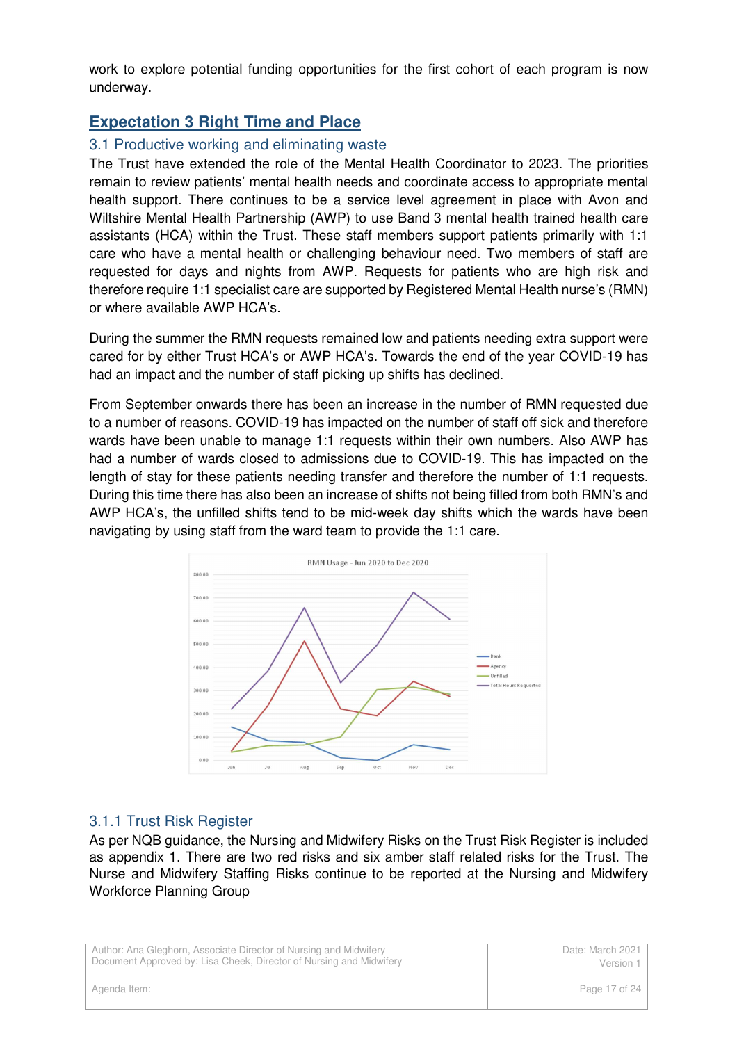work to explore potential funding opportunities for the first cohort of each program is now underway.

# **Expectation 3 Right Time and Place**

#### 3.1 Productive working and eliminating waste

The Trust have extended the role of the Mental Health Coordinator to 2023. The priorities remain to review patients' mental health needs and coordinate access to appropriate mental health support. There continues to be a service level agreement in place with Avon and Wiltshire Mental Health Partnership (AWP) to use Band 3 mental health trained health care assistants (HCA) within the Trust. These staff members support patients primarily with 1:1 care who have a mental health or challenging behaviour need. Two members of staff are requested for days and nights from AWP. Requests for patients who are high risk and therefore require 1:1 specialist care are supported by Registered Mental Health nurse's (RMN) or where available AWP HCA's.

During the summer the RMN requests remained low and patients needing extra support were cared for by either Trust HCA's or AWP HCA's. Towards the end of the year COVID-19 has had an impact and the number of staff picking up shifts has declined.

From September onwards there has been an increase in the number of RMN requested due to a number of reasons. COVID-19 has impacted on the number of staff off sick and therefore wards have been unable to manage 1:1 requests within their own numbers. Also AWP has had a number of wards closed to admissions due to COVID-19. This has impacted on the length of stay for these patients needing transfer and therefore the number of 1:1 requests. During this time there has also been an increase of shifts not being filled from both RMN's and AWP HCA's, the unfilled shifts tend to be mid-week day shifts which the wards have been navigating by using staff from the ward team to provide the 1:1 care.



#### 3.1.1 Trust Risk Register

As per NQB guidance, the Nursing and Midwifery Risks on the Trust Risk Register is included as appendix 1. There are two red risks and six amber staff related risks for the Trust. The Nurse and Midwifery Staffing Risks continue to be reported at the Nursing and Midwifery Workforce Planning Group

| Author: Ana Gleghorn, Associate Director of Nursing and Midwifery   | Date: March 2021 |
|---------------------------------------------------------------------|------------------|
| Document Approved by: Lisa Cheek, Director of Nursing and Midwifery | Version 1        |
| Agenda Item:                                                        | Page 17 of 24    |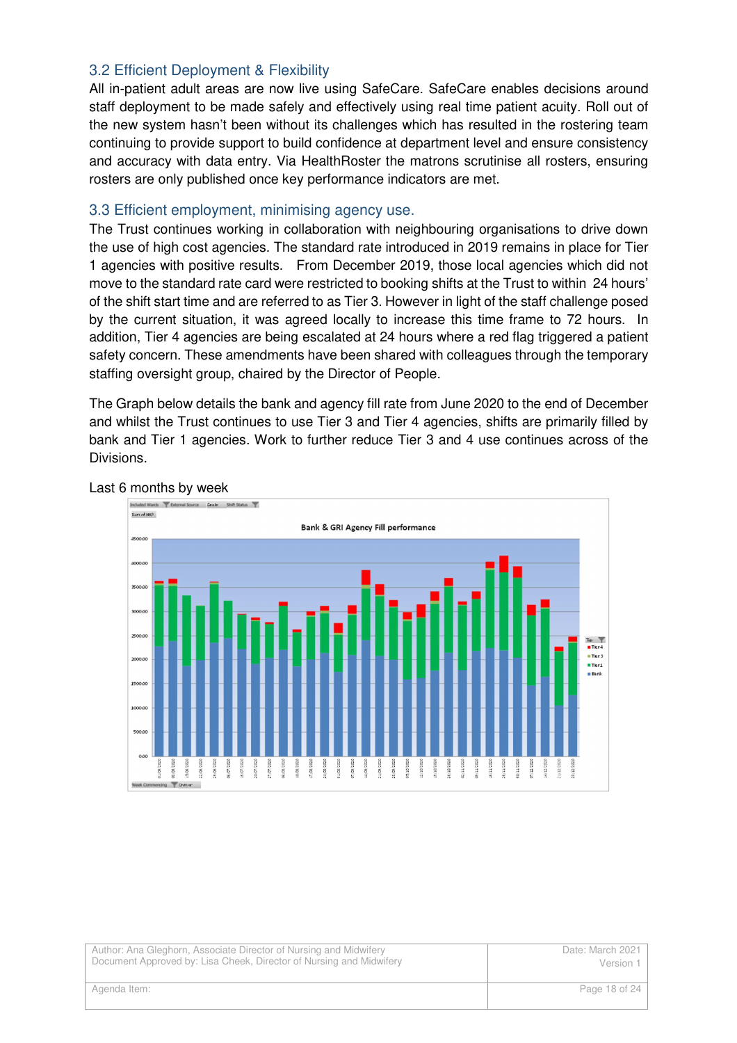## 3.2 Efficient Deployment & Flexibility

All in-patient adult areas are now live using SafeCare. SafeCare enables decisions around staff deployment to be made safely and effectively using real time patient acuity. Roll out of the new system hasn't been without its challenges which has resulted in the rostering team continuing to provide support to build confidence at department level and ensure consistency and accuracy with data entry. Via HealthRoster the matrons scrutinise all rosters, ensuring rosters are only published once key performance indicators are met.

#### 3.3 Efficient employment, minimising agency use.

The Trust continues working in collaboration with neighbouring organisations to drive down the use of high cost agencies. The standard rate introduced in 2019 remains in place for Tier 1 agencies with positive results. From December 2019, those local agencies which did not move to the standard rate card were restricted to booking shifts at the Trust to within 24 hours' of the shift start time and are referred to as Tier 3. However in light of the staff challenge posed by the current situation, it was agreed locally to increase this time frame to 72 hours. In addition, Tier 4 agencies are being escalated at 24 hours where a red flag triggered a patient safety concern. These amendments have been shared with colleagues through the temporary staffing oversight group, chaired by the Director of People.

The Graph below details the bank and agency fill rate from June 2020 to the end of December and whilst the Trust continues to use Tier 3 and Tier 4 agencies, shifts are primarily filled by bank and Tier 1 agencies. Work to further reduce Tier 3 and 4 use continues across of the Divisions.



#### Last 6 months by week

| Author: Ana Gleghorn, Associate Director of Nursing and Midwifery   | Date: March 2021 |
|---------------------------------------------------------------------|------------------|
| Document Approved by: Lisa Cheek, Director of Nursing and Midwifery | Version 1        |
| Agenda Item:                                                        | Page 18 of 24    |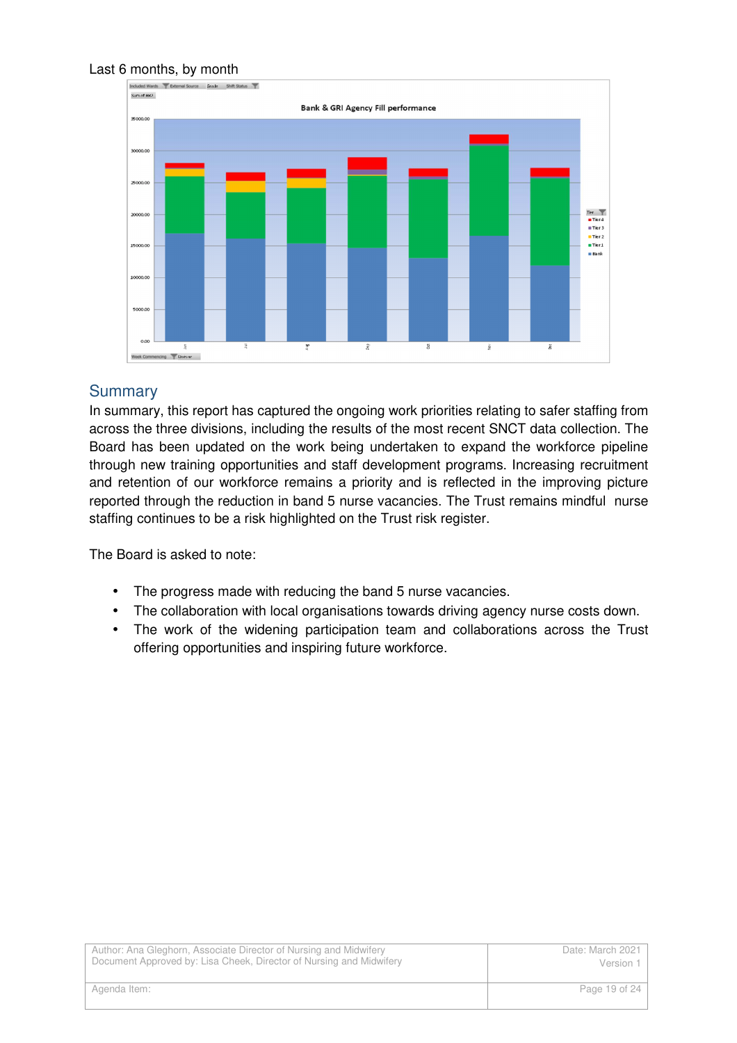#### Last 6 months, by month



# Summary

In summary, this report has captured the ongoing work priorities relating to safer staffing from across the three divisions, including the results of the most recent SNCT data collection. The Board has been updated on the work being undertaken to expand the workforce pipeline through new training opportunities and staff development programs. Increasing recruitment and retention of our workforce remains a priority and is reflected in the improving picture reported through the reduction in band 5 nurse vacancies. The Trust remains mindful nurse staffing continues to be a risk highlighted on the Trust risk register.

The Board is asked to note:

- The progress made with reducing the band 5 nurse vacancies.
- The collaboration with local organisations towards driving agency nurse costs down.
- The work of the widening participation team and collaborations across the Trust offering opportunities and inspiring future workforce.

| Author: Ana Gleghorn, Associate Director of Nursing and Midwifery   | Date: March 2021 |
|---------------------------------------------------------------------|------------------|
| Document Approved by: Lisa Cheek, Director of Nursing and Midwifery | Version 1        |
| Agenda Item:                                                        | Page 19 of 24    |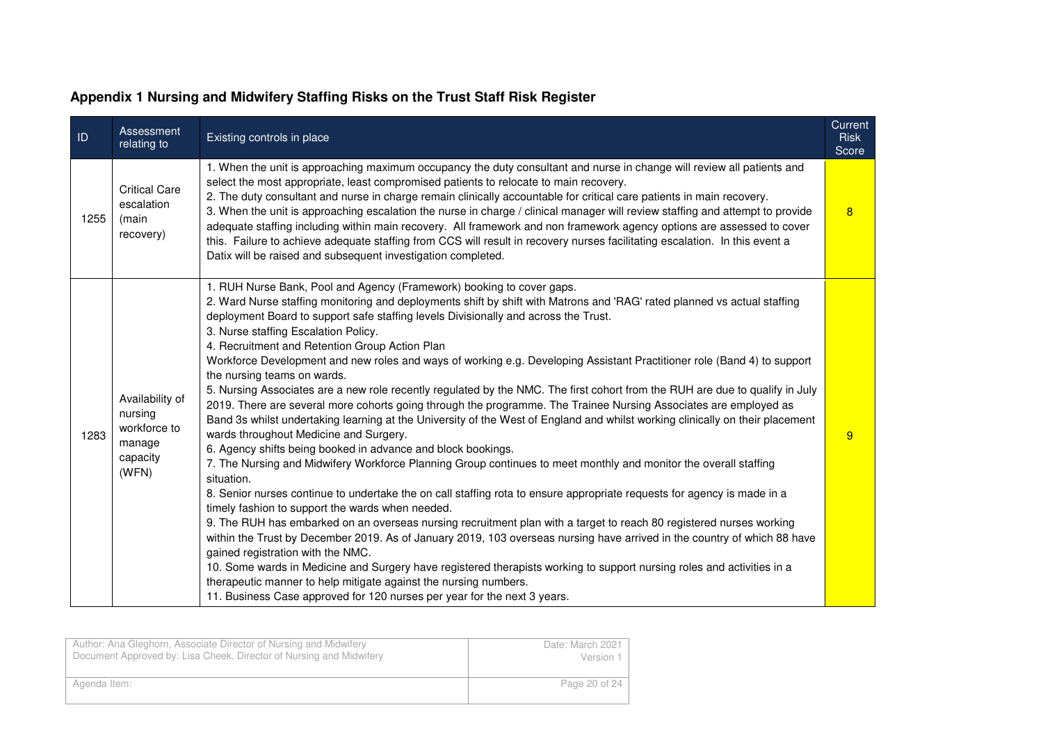| D    | Assessment<br>relating to                                                 | Existing controls in place                                                                                                                                                                                                                                                                                                                                                                                                                                                                                                                                                                                                                                                                                                                                                                                                                                                                                                                                                                                                                                                                                                                                                                                                                                                                                                                                                                                                                                                                                                                                                                                                                                                                                                                                                                                                                                                                                                     | Current<br><b>Risk</b><br>Score |
|------|---------------------------------------------------------------------------|--------------------------------------------------------------------------------------------------------------------------------------------------------------------------------------------------------------------------------------------------------------------------------------------------------------------------------------------------------------------------------------------------------------------------------------------------------------------------------------------------------------------------------------------------------------------------------------------------------------------------------------------------------------------------------------------------------------------------------------------------------------------------------------------------------------------------------------------------------------------------------------------------------------------------------------------------------------------------------------------------------------------------------------------------------------------------------------------------------------------------------------------------------------------------------------------------------------------------------------------------------------------------------------------------------------------------------------------------------------------------------------------------------------------------------------------------------------------------------------------------------------------------------------------------------------------------------------------------------------------------------------------------------------------------------------------------------------------------------------------------------------------------------------------------------------------------------------------------------------------------------------------------------------------------------|---------------------------------|
| 1255 | <b>Critical Care</b><br>escalation<br>(main<br>recovery)                  | 1. When the unit is approaching maximum occupancy the duty consultant and nurse in change will review all patients and<br>select the most appropriate, least compromised patients to relocate to main recovery.<br>2. The duty consultant and nurse in charge remain clinically accountable for critical care patients in main recovery.<br>3. When the unit is approaching escalation the nurse in charge / clinical manager will review staffing and attempt to provide<br>adequate staffing including within main recovery. All framework and non framework agency options are assessed to cover<br>this. Failure to achieve adequate staffing from CCS will result in recovery nurses facilitating escalation. In this event a<br>Datix will be raised and subsequent investigation completed.                                                                                                                                                                                                                                                                                                                                                                                                                                                                                                                                                                                                                                                                                                                                                                                                                                                                                                                                                                                                                                                                                                                             | 8                               |
| 1283 | Availability of<br>nursing<br>workforce to<br>manage<br>capacity<br>(WFN) | 1. RUH Nurse Bank, Pool and Agency (Framework) booking to cover gaps.<br>2. Ward Nurse staffing monitoring and deployments shift by shift with Matrons and 'RAG' rated planned vs actual staffing<br>deployment Board to support safe staffing levels Divisionally and across the Trust.<br>3. Nurse staffing Escalation Policy.<br>4. Recruitment and Retention Group Action Plan<br>Workforce Development and new roles and ways of working e.g. Developing Assistant Practitioner role (Band 4) to support<br>the nursing teams on wards.<br>5. Nursing Associates are a new role recently regulated by the NMC. The first cohort from the RUH are due to qualify in July<br>2019. There are several more cohorts going through the programme. The Trainee Nursing Associates are employed as<br>Band 3s whilst undertaking learning at the University of the West of England and whilst working clinically on their placement<br>wards throughout Medicine and Surgery.<br>6. Agency shifts being booked in advance and block bookings.<br>7. The Nursing and Midwifery Workforce Planning Group continues to meet monthly and monitor the overall staffing<br>situation.<br>8. Senior nurses continue to undertake the on call staffing rota to ensure appropriate requests for agency is made in a<br>timely fashion to support the wards when needed.<br>9. The RUH has embarked on an overseas nursing recruitment plan with a target to reach 80 registered nurses working<br>within the Trust by December 2019. As of January 2019, 103 overseas nursing have arrived in the country of which 88 have<br>gained registration with the NMC.<br>10. Some wards in Medicine and Surgery have registered therapists working to support nursing roles and activities in a<br>therapeutic manner to help mitigate against the nursing numbers.<br>11. Business Case approved for 120 nurses per year for the next 3 years. | 9                               |

#### **Appendix 1 Nursing and Midwifery Staffing Risks on the Trust Staff Risk Register**

| Author: Ana Gleghorn, Associate Director of Nursing and Midwifery<br>Document Approved by: Lisa Cheek, Director of Nursing and Midwifery | Date: March 2021<br>Version 1 |
|------------------------------------------------------------------------------------------------------------------------------------------|-------------------------------|
|                                                                                                                                          |                               |
| Agenda Item:                                                                                                                             | Page 20 of 24                 |
|                                                                                                                                          |                               |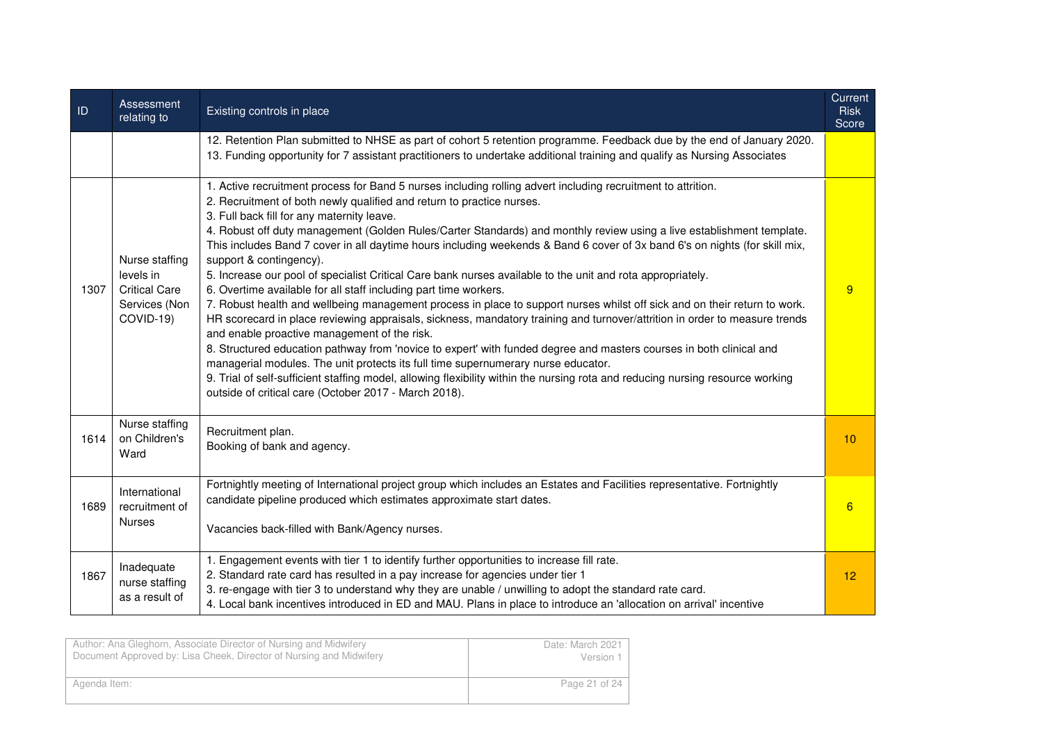| D    | Assessment<br>relating to                                                         | Existing controls in place                                                                                                                                                                                                                                                                                                                                                                                                                                                                                                                                                                                                                                                                                                                                                                                                                                                                                                                                                                                                                                                                                                                                                                                                                                                                                                                                                                                                | Current<br><b>Risk</b><br>Score |
|------|-----------------------------------------------------------------------------------|---------------------------------------------------------------------------------------------------------------------------------------------------------------------------------------------------------------------------------------------------------------------------------------------------------------------------------------------------------------------------------------------------------------------------------------------------------------------------------------------------------------------------------------------------------------------------------------------------------------------------------------------------------------------------------------------------------------------------------------------------------------------------------------------------------------------------------------------------------------------------------------------------------------------------------------------------------------------------------------------------------------------------------------------------------------------------------------------------------------------------------------------------------------------------------------------------------------------------------------------------------------------------------------------------------------------------------------------------------------------------------------------------------------------------|---------------------------------|
|      |                                                                                   | 12. Retention Plan submitted to NHSE as part of cohort 5 retention programme. Feedback due by the end of January 2020.<br>13. Funding opportunity for 7 assistant practitioners to undertake additional training and qualify as Nursing Associates                                                                                                                                                                                                                                                                                                                                                                                                                                                                                                                                                                                                                                                                                                                                                                                                                                                                                                                                                                                                                                                                                                                                                                        |                                 |
| 1307 | Nurse staffing<br>levels in<br><b>Critical Care</b><br>Services (Non<br>COVID-19) | 1. Active recruitment process for Band 5 nurses including rolling advert including recruitment to attrition.<br>2. Recruitment of both newly qualified and return to practice nurses.<br>3. Full back fill for any maternity leave.<br>4. Robust off duty management (Golden Rules/Carter Standards) and monthly review using a live establishment template.<br>This includes Band 7 cover in all daytime hours including weekends & Band 6 cover of 3x band 6's on nights (for skill mix,<br>support & contingency).<br>5. Increase our pool of specialist Critical Care bank nurses available to the unit and rota appropriately.<br>6. Overtime available for all staff including part time workers.<br>7. Robust health and wellbeing management process in place to support nurses whilst off sick and on their return to work.<br>HR scorecard in place reviewing appraisals, sickness, mandatory training and turnover/attrition in order to measure trends<br>and enable proactive management of the risk.<br>8. Structured education pathway from 'novice to expert' with funded degree and masters courses in both clinical and<br>managerial modules. The unit protects its full time supernumerary nurse educator.<br>9. Trial of self-sufficient staffing model, allowing flexibility within the nursing rota and reducing nursing resource working<br>outside of critical care (October 2017 - March 2018). | 9                               |
| 1614 | Nurse staffing<br>on Children's<br>Ward                                           | Recruitment plan.<br>Booking of bank and agency.                                                                                                                                                                                                                                                                                                                                                                                                                                                                                                                                                                                                                                                                                                                                                                                                                                                                                                                                                                                                                                                                                                                                                                                                                                                                                                                                                                          | 10                              |
| 1689 | International<br>recruitment of<br><b>Nurses</b>                                  | Fortnightly meeting of International project group which includes an Estates and Facilities representative. Fortnightly<br>candidate pipeline produced which estimates approximate start dates.<br>Vacancies back-filled with Bank/Agency nurses.                                                                                                                                                                                                                                                                                                                                                                                                                                                                                                                                                                                                                                                                                                                                                                                                                                                                                                                                                                                                                                                                                                                                                                         | 6                               |
| 1867 | Inadequate<br>nurse staffing<br>as a result of                                    | 1. Engagement events with tier 1 to identify further opportunities to increase fill rate.<br>2. Standard rate card has resulted in a pay increase for agencies under tier 1<br>3. re-engage with tier 3 to understand why they are unable / unwilling to adopt the standard rate card.<br>4. Local bank incentives introduced in ED and MAU. Plans in place to introduce an 'allocation on arrival' incentive                                                                                                                                                                                                                                                                                                                                                                                                                                                                                                                                                                                                                                                                                                                                                                                                                                                                                                                                                                                                             | 12                              |

| Author: Ana Gleghorn, Associate Director of Nursing and Midwifery   | Date: March 2021 |
|---------------------------------------------------------------------|------------------|
| Document Approved by: Lisa Cheek, Director of Nursing and Midwifery | Version 1        |
| Agenda Item:                                                        | Page 21 of 24    |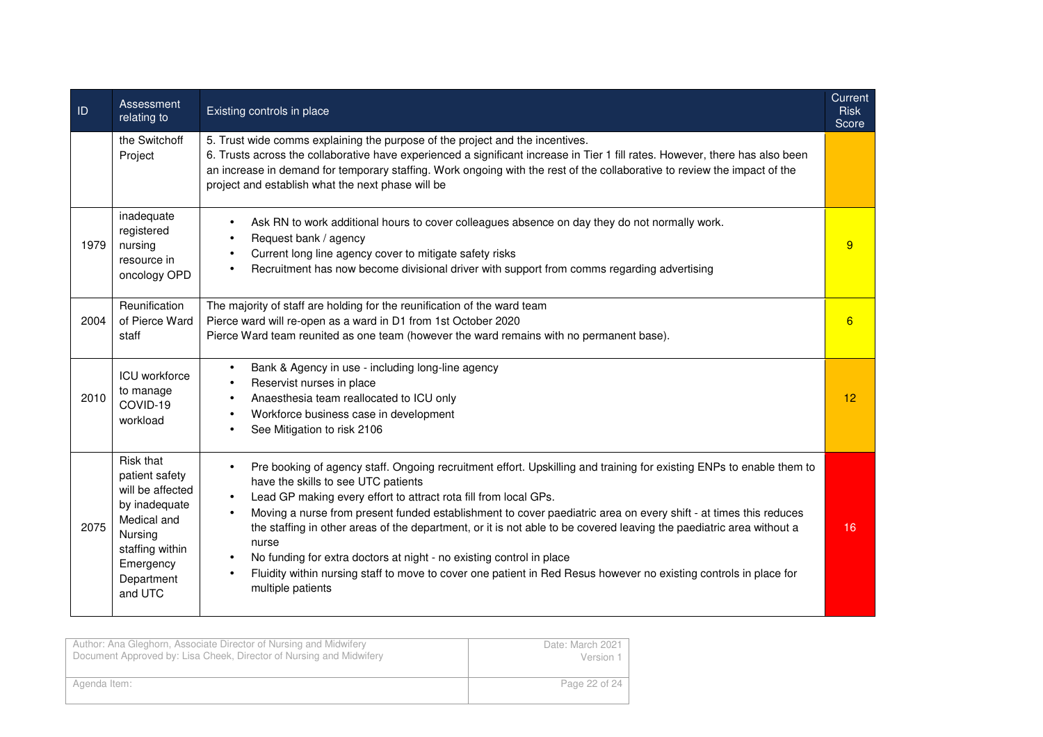| ID   | Assessment<br>relating to                                                                                                                           | Existing controls in place                                                                                                                                                                                                                                                                                                                                                                                                                                                                                                                                                                                                                                                                                                                                 | <b>Current</b><br><b>Risk</b><br>Score |
|------|-----------------------------------------------------------------------------------------------------------------------------------------------------|------------------------------------------------------------------------------------------------------------------------------------------------------------------------------------------------------------------------------------------------------------------------------------------------------------------------------------------------------------------------------------------------------------------------------------------------------------------------------------------------------------------------------------------------------------------------------------------------------------------------------------------------------------------------------------------------------------------------------------------------------------|----------------------------------------|
|      | the Switchoff<br>Project                                                                                                                            | 5. Trust wide comms explaining the purpose of the project and the incentives.<br>6. Trusts across the collaborative have experienced a significant increase in Tier 1 fill rates. However, there has also been<br>an increase in demand for temporary staffing. Work ongoing with the rest of the collaborative to review the impact of the<br>project and establish what the next phase will be                                                                                                                                                                                                                                                                                                                                                           |                                        |
| 1979 | inadequate<br>registered<br>nursing<br>resource in<br>oncology OPD                                                                                  | Ask RN to work additional hours to cover colleagues absence on day they do not normally work.<br>$\bullet$<br>Request bank / agency<br>Current long line agency cover to mitigate safety risks<br>Recruitment has now become divisional driver with support from comms regarding advertising                                                                                                                                                                                                                                                                                                                                                                                                                                                               | 9                                      |
| 2004 | Reunification<br>of Pierce Ward<br>staff                                                                                                            | The majority of staff are holding for the reunification of the ward team<br>Pierce ward will re-open as a ward in D1 from 1st October 2020<br>Pierce Ward team reunited as one team (however the ward remains with no permanent base).                                                                                                                                                                                                                                                                                                                                                                                                                                                                                                                     | 6                                      |
| 2010 | ICU workforce<br>to manage<br>COVID-19<br>workload                                                                                                  | Bank & Agency in use - including long-line agency<br>$\bullet$<br>Reservist nurses in place<br>$\bullet$<br>Anaesthesia team reallocated to ICU only<br>$\bullet$<br>Workforce business case in development<br>See Mitigation to risk 2106                                                                                                                                                                                                                                                                                                                                                                                                                                                                                                                 | 12                                     |
| 2075 | Risk that<br>patient safety<br>will be affected<br>by inadequate<br>Medical and<br>Nursing<br>staffing within<br>Emergency<br>Department<br>and UTC | Pre booking of agency staff. Ongoing recruitment effort. Upskilling and training for existing ENPs to enable them to<br>$\bullet$<br>have the skills to see UTC patients<br>Lead GP making every effort to attract rota fill from local GPs.<br>$\bullet$<br>Moving a nurse from present funded establishment to cover paediatric area on every shift - at times this reduces<br>$\bullet$<br>the staffing in other areas of the department, or it is not able to be covered leaving the paediatric area without a<br>nurse<br>No funding for extra doctors at night - no existing control in place<br>$\bullet$<br>Fluidity within nursing staff to move to cover one patient in Red Resus however no existing controls in place for<br>multiple patients | 16                                     |

| Author: Ana Gleghorn, Associate Director of Nursing and Midwifery   | Date: March 2021 |
|---------------------------------------------------------------------|------------------|
| Document Approved by: Lisa Cheek, Director of Nursing and Midwifery | Version 1        |
| Agenda Item:                                                        | Page 22 of 24    |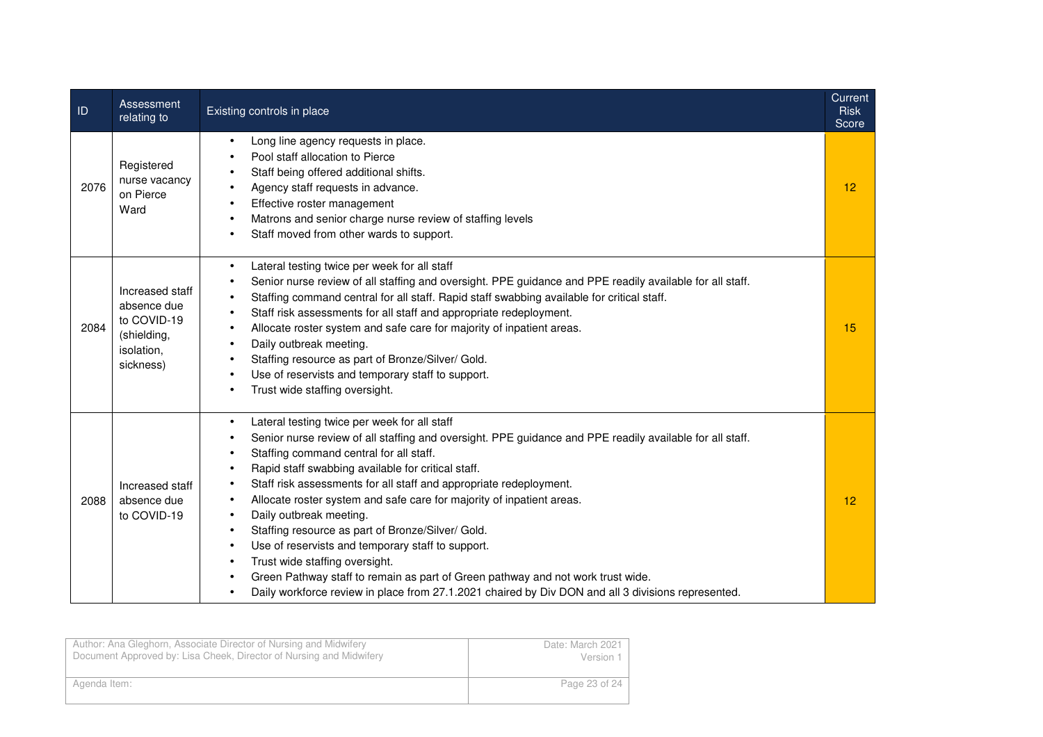| ID   | Assessment<br>relating to                                                               | Existing controls in place                                                                                                                                                                                                                                                                                                                                                                                                                                                                                                                                                                                                                                                                                                                                                                         | Current<br><b>Risk</b><br>Score |
|------|-----------------------------------------------------------------------------------------|----------------------------------------------------------------------------------------------------------------------------------------------------------------------------------------------------------------------------------------------------------------------------------------------------------------------------------------------------------------------------------------------------------------------------------------------------------------------------------------------------------------------------------------------------------------------------------------------------------------------------------------------------------------------------------------------------------------------------------------------------------------------------------------------------|---------------------------------|
| 2076 | Registered<br>nurse vacancy<br>on Pierce<br>Ward                                        | Long line agency requests in place.<br>Pool staff allocation to Pierce<br>Staff being offered additional shifts.<br>Agency staff requests in advance.<br>Effective roster management<br>Matrons and senior charge nurse review of staffing levels<br>Staff moved from other wards to support.                                                                                                                                                                                                                                                                                                                                                                                                                                                                                                      | 12                              |
| 2084 | Increased staff<br>absence due<br>to COVID-19<br>(shielding,<br>isolation,<br>sickness) | Lateral testing twice per week for all staff<br>$\bullet$<br>Senior nurse review of all staffing and oversight. PPE guidance and PPE readily available for all staff.<br>Staffing command central for all staff. Rapid staff swabbing available for critical staff.<br>Staff risk assessments for all staff and appropriate redeployment.<br>Allocate roster system and safe care for majority of inpatient areas.<br>Daily outbreak meeting.<br>Staffing resource as part of Bronze/Silver/ Gold.<br>Use of reservists and temporary staff to support.<br>Trust wide staffing oversight.                                                                                                                                                                                                          | 15                              |
| 2088 | Increased staff<br>absence due<br>to COVID-19                                           | Lateral testing twice per week for all staff<br>Senior nurse review of all staffing and oversight. PPE guidance and PPE readily available for all staff.<br>Staffing command central for all staff.<br>Rapid staff swabbing available for critical staff.<br>Staff risk assessments for all staff and appropriate redeployment.<br>Allocate roster system and safe care for majority of inpatient areas.<br>Daily outbreak meeting.<br>$\bullet$<br>Staffing resource as part of Bronze/Silver/ Gold.<br>$\bullet$<br>Use of reservists and temporary staff to support.<br>Trust wide staffing oversight.<br>Green Pathway staff to remain as part of Green pathway and not work trust wide.<br>Daily workforce review in place from 27.1.2021 chaired by Div DON and all 3 divisions represented. | 12                              |

| Author: Ana Gleghorn, Associate Director of Nursing and Midwifery<br>Document Approved by: Lisa Cheek, Director of Nursing and Midwifery | Date: March 2021<br>Version 1 |
|------------------------------------------------------------------------------------------------------------------------------------------|-------------------------------|
|                                                                                                                                          |                               |
| Agenda Item:                                                                                                                             | Page 23 of 24                 |
|                                                                                                                                          |                               |